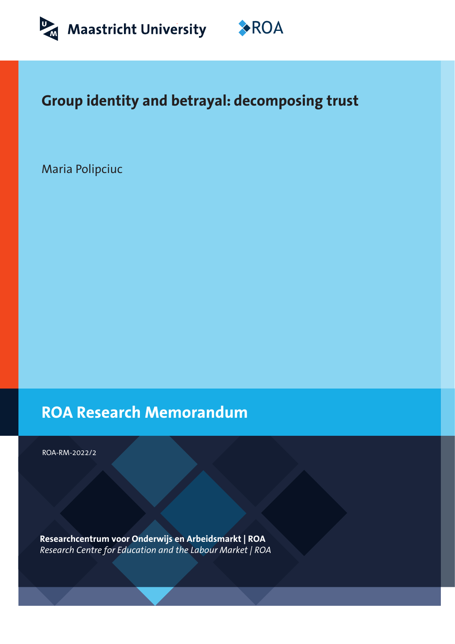



# **Group identity and betrayal: decomposing trust**

Maria Polipciuc

**ROA Research Memorandum**

ROA-RM-2022/2

**Researchcentrum voor Onderwijs en Arbeidsmarkt | ROA** *Research Centre for Education and the Labour Market | ROA*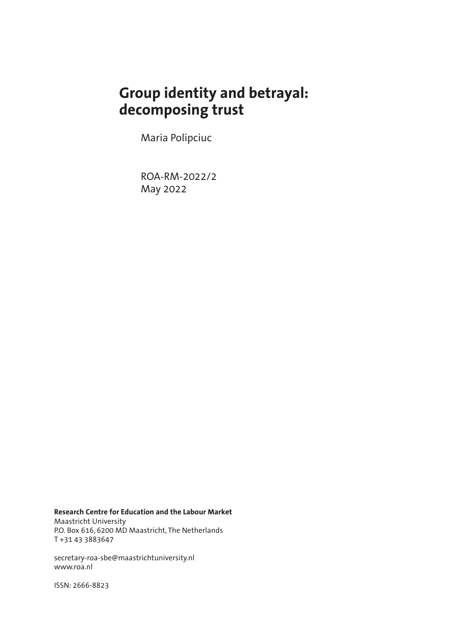# **Group identity and betrayal: decomposing trust**

Maria Polipciuc

ROA-RM-2022/2 May 2022

**Research Centre for Education and the Labour Market** Maastricht University P.O. Box 616, 6200 MD Maastricht, The Netherlands T +31 43 3883647

secretary-roa-sbe@maastrichtuniversity.nl www.roa.nl

ISSN: 2666-8823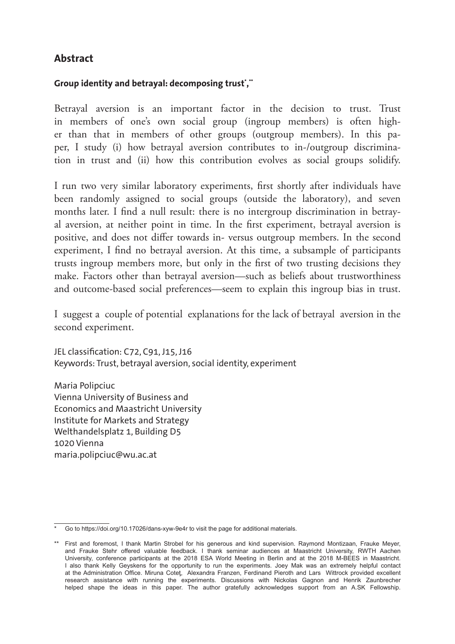## **Abstract**

### **Group identity and betrayal: decomposing trust',"**

Betrayal aversion is an important factor in the decision to trust. Trust in members of one's own social group (ingroup members) is often higher than that in members of other groups (outgroup members). In this paper, I study (i) how betrayal aversion contributes to in-/outgroup discrimination in trust and (ii) how this contribution evolves as social groups solidify.

I run two very similar laboratory experiments, first shortly after individuals have been randomly assigned to social groups (outside the laboratory), and seven months later. I find a null result: there is no intergroup discrimination in betrayal aversion, at neither point in time. In the first experiment, betrayal aversion is positive, and does not differ towards in- versus outgroup members. In the second experiment, I find no betrayal aversion. At this time, a subsample of participants trusts ingroup members more, but only in the first of two trusting decisions they make. Factors other than betrayal aversion—such as beliefs about trustworthiness and outcome-based social preferences—seem to explain this ingroup bias in trust.

I suggest a couple of potential explanations for the lack of betrayal aversion in the second experiment.

JEL classification: C72, C91, J15, J16 Keywords: Trust, betrayal aversion, social identity, experiment

Maria Polipciuc Vienna University of Business and Economics and Maastricht University Institute for Markets and Strategy Welthandelsplatz 1, Building D5 1020 Vienna maria.polipciuc@wu.ac.at

Go to https://doi.org/10.17026/dans-xyw-9e4r to visit the page for additional materials.

<sup>\*\*</sup> First and foremost, I thank Martin Strobel for his generous and kind supervision. Raymond Montizaan, Frauke Meyer, and Frauke Stehr offered valuable feedback. I thank seminar audiences at Maastricht University, RWTH Aachen University, conference participants at the 2018 ESA World Meeting in Berlin and at the 2018 M-BEES in Maastricht. I also thank Kelly Geyskens for the opportunity to run the experiments. Joey Mak was an extremely helpful contact at the Administration Office. Miruna Coteţ, Alexandra Franzen, Ferdinand Pieroth and Lars Wittrock provided excellent research assistance with running the experiments. Discussions with Nickolas Gagnon and Henrik Zaunbrecher helped shape the ideas in this paper. The author gratefully acknowledges support from an A.SK Fellowship.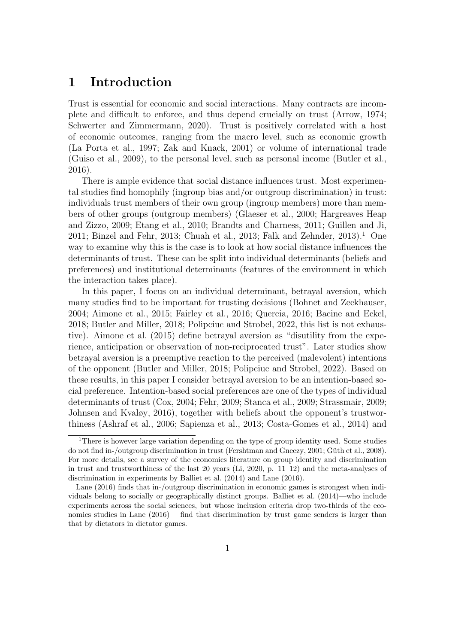## 1 Introduction

Trust is essential for economic and social interactions. Many contracts are incomplete and difficult to enforce, and thus depend crucially on trust [\(Arrow, 1974;](#page-29-0) [Schwerter and Zimmermann, 2020\)](#page-32-0). Trust is positively correlated with a host of economic outcomes, ranging from the macro level, such as economic growth [\(La Porta et al., 1997;](#page-32-1) [Zak and Knack, 2001\)](#page-33-0) or volume of international trade [\(Guiso et al., 2009\)](#page-31-0), to the personal level, such as personal income [\(Butler et al.,](#page-30-0) [2016\)](#page-30-0).

There is ample evidence that social distance influences trust. Most experimental studies find homophily (ingroup bias and/or outgroup discrimination) in trust: individuals trust members of their own group (ingroup members) more than members of other groups (outgroup members) [\(Glaeser et al., 2000;](#page-31-1) [Hargreaves Heap](#page-32-2) [and Zizzo, 2009;](#page-32-2) [Etang et al., 2010;](#page-31-2) [Brandts and Charness, 2011;](#page-30-1) [Guillen and Ji,](#page-31-3) [2011;](#page-31-3) [Binzel and Fehr, 2013;](#page-29-1) [Chuah et al., 2013;](#page-30-2) [Falk and Zehnder, 2013\)](#page-31-4).<sup>[1](#page-3-0)</sup> One way to examine why this is the case is to look at how social distance influences the determinants of trust. These can be split into individual determinants (beliefs and preferences) and institutional determinants (features of the environment in which the interaction takes place).

In this paper, I focus on an individual determinant, betrayal aversion, which many studies find to be important for trusting decisions [\(Bohnet and Zeckhauser,](#page-30-3) [2004;](#page-30-3) [Aimone et al., 2015;](#page-29-2) [Fairley et al., 2016;](#page-31-5) [Quercia, 2016;](#page-32-3) [Bacine and Eckel,](#page-29-3) [2018;](#page-29-3) [Butler and Miller, 2018;](#page-30-4) [Polipciuc and Strobel, 2022,](#page-32-4) this list is not exhaustive). [Aimone et al.](#page-29-2) [\(2015\)](#page-29-2) define betrayal aversion as "disutility from the experience, anticipation or observation of non-reciprocated trust". Later studies show betrayal aversion is a preemptive reaction to the perceived (malevolent) intentions of the opponent [\(Butler and Miller, 2018;](#page-30-4) [Polipciuc and Strobel, 2022\)](#page-32-4). Based on these results, in this paper I consider betrayal aversion to be an intention-based social preference. Intention-based social preferences are one of the types of individual determinants of trust [\(Cox, 2004;](#page-30-5) [Fehr, 2009;](#page-31-6) [Stanca et al., 2009;](#page-33-1) [Strassmair, 2009;](#page-33-2) [Johnsen and Kvaløy, 2016\)](#page-32-5), together with beliefs about the opponent's trustworthiness [\(Ashraf et al., 2006;](#page-29-4) [Sapienza et al., 2013;](#page-32-6) [Costa-Gomes et al., 2014\)](#page-30-6) and

<span id="page-3-0"></span><sup>&</sup>lt;sup>1</sup>There is however large variation depending on the type of group identity used. Some studies do not find in-/outgroup discrimination in trust [\(Fershtman and Gneezy, 2001;](#page-31-7) Güth et al., 2008). For more details, see a survey of the economics literature on group identity and discrimination in trust and trustworthiness of the last 20 years [\(Li, 2020,](#page-32-8) p. 11–12) and the meta-analyses of discrimination in experiments by [Balliet et al.](#page-29-5) [\(2014\)](#page-29-5) and [Lane](#page-32-9) [\(2016\)](#page-32-9).

[Lane](#page-32-9) [\(2016\)](#page-32-9) finds that in-/outgroup discrimination in economic games is strongest when individuals belong to socially or geographically distinct groups. [Balliet et al.](#page-29-5) [\(2014\)](#page-29-5)—who include experiments across the social sciences, but whose inclusion criteria drop two-thirds of the economics studies in [Lane](#page-32-9) [\(2016\)](#page-32-9)— find that discrimination by trust game senders is larger than that by dictators in dictator games.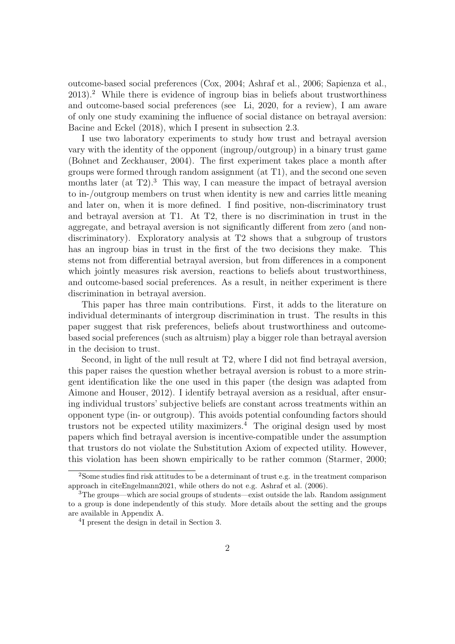outcome-based social preferences [\(Cox, 2004;](#page-30-5) [Ashraf et al., 2006;](#page-29-4) [Sapienza et al.,](#page-32-6)  $2013$  $2013$ ).<sup>2</sup> While there is evidence of ingroup bias in beliefs about trustworthiness and outcome-based social preferences (see [Li, 2020,](#page-32-8) for a review), I am aware of only one study examining the influence of social distance on betrayal aversion: [Bacine and Eckel](#page-29-3) [\(2018\)](#page-29-3), which I present in subsection [2.3.](#page-9-0)

I use two laboratory experiments to study how trust and betrayal aversion vary with the identity of the opponent (ingroup/outgroup) in a binary trust game [\(Bohnet and Zeckhauser, 2004\)](#page-30-3). The first experiment takes place a month after groups were formed through random assignment (at T1), and the second one seven months later (at  $T2$ ).<sup>[3](#page-4-1)</sup> This way, I can measure the impact of betrayal aversion to in-/outgroup members on trust when identity is new and carries little meaning and later on, when it is more defined. I find positive, non-discriminatory trust and betrayal aversion at T1. At T2, there is no discrimination in trust in the aggregate, and betrayal aversion is not significantly different from zero (and nondiscriminatory). Exploratory analysis at T2 shows that a subgroup of trustors has an ingroup bias in trust in the first of the two decisions they make. This stems not from differential betrayal aversion, but from differences in a component which jointly measures risk aversion, reactions to beliefs about trustworthiness, and outcome-based social preferences. As a result, in neither experiment is there discrimination in betrayal aversion.

This paper has three main contributions. First, it adds to the literature on individual determinants of intergroup discrimination in trust. The results in this paper suggest that risk preferences, beliefs about trustworthiness and outcomebased social preferences (such as altruism) play a bigger role than betrayal aversion in the decision to trust.

Second, in light of the null result at T2, where I did not find betrayal aversion, this paper raises the question whether betrayal aversion is robust to a more stringent identification like the one used in this paper (the design was adapted from [Aimone and Houser, 2012\)](#page-29-6). I identify betrayal aversion as a residual, after ensuring individual trustors' subjective beliefs are constant across treatments within an opponent type (in- or outgroup). This avoids potential confounding factors should trustors not be expected utility maximizers.<sup>[4](#page-4-2)</sup> The original design used by most papers which find betrayal aversion is incentive-compatible under the assumption that trustors do not violate the Substitution Axiom of expected utility. However, this violation has been shown empirically to be rather common [\(Starmer, 2000;](#page-33-3)

<span id="page-4-0"></span><sup>2</sup>Some studies find risk attitudes to be a determinant of trust e.g. in the treatment comparison approach in citeEngelmann2021, while others do not e.g. [Ashraf et al.](#page-29-4) [\(2006\)](#page-29-4).

<span id="page-4-1"></span><sup>3</sup>The groups—which are social groups of students—exist outside the lab. Random assignment to a group is done independently of this study. More details about the setting and the groups are available in Appendix [A.](#page-34-0)

<span id="page-4-2"></span><sup>4</sup> I present the design in detail in Section [3.](#page-10-0)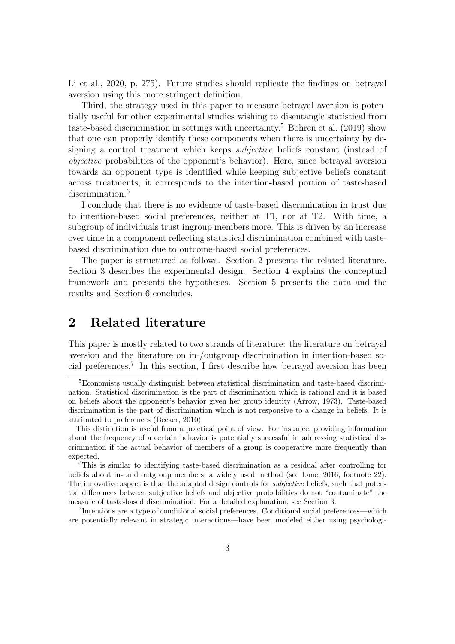[Li et al., 2020,](#page-32-10) p. 275). Future studies should replicate the findings on betrayal aversion using this more stringent definition.

Third, the strategy used in this paper to measure betrayal aversion is potentially useful for other experimental studies wishing to disentangle statistical from taste-based discrimination in settings with uncertainty.[5](#page-5-0) [Bohren et al.](#page-30-7) [\(2019\)](#page-30-7) show that one can properly identify these components when there is uncertainty by designing a control treatment which keeps *subjective* beliefs constant (instead of objective probabilities of the opponent's behavior). Here, since betrayal aversion towards an opponent type is identified while keeping subjective beliefs constant across treatments, it corresponds to the intention-based portion of taste-based discrimination.<sup>[6](#page-5-1)</sup>

I conclude that there is no evidence of taste-based discrimination in trust due to intention-based social preferences, neither at T1, nor at T2. With time, a subgroup of individuals trust ingroup members more. This is driven by an increase over time in a component reflecting statistical discrimination combined with tastebased discrimination due to outcome-based social preferences.

The paper is structured as follows. Section [2](#page-5-2) presents the related literature. Section [3](#page-10-0) describes the experimental design. Section [4](#page-14-0) explains the conceptual framework and presents the hypotheses. Section [5](#page-17-0) presents the data and the results and Section [6](#page-27-0) concludes.

## <span id="page-5-2"></span>2 Related literature

This paper is mostly related to two strands of literature: the literature on betrayal aversion and the literature on in-/outgroup discrimination in intention-based social preferences.[7](#page-5-3) In this section, I first describe how betrayal aversion has been

<span id="page-5-0"></span><sup>5</sup>Economists usually distinguish between statistical discrimination and taste-based discrimination. Statistical discrimination is the part of discrimination which is rational and it is based on beliefs about the opponent's behavior given her group identity [\(Arrow, 1973\)](#page-29-7). Taste-based discrimination is the part of discrimination which is not responsive to a change in beliefs. It is attributed to preferences [\(Becker, 2010\)](#page-29-8).

This distinction is useful from a practical point of view. For instance, providing information about the frequency of a certain behavior is potentially successful in addressing statistical discrimination if the actual behavior of members of a group is cooperative more frequently than expected.

<span id="page-5-1"></span><sup>&</sup>lt;sup>6</sup>This is similar to identifying taste-based discrimination as a residual after controlling for beliefs about in- and outgroup members, a widely used method (see [Lane, 2016,](#page-32-9) footnote 22). The innovative aspect is that the adapted design controls for *subjective* beliefs, such that potential differences between subjective beliefs and objective probabilities do not "contaminate" the measure of taste-based discrimination. For a detailed explanation, see Section [3.](#page-10-0)

<span id="page-5-3"></span><sup>7</sup> Intentions are a type of conditional social preferences. Conditional social preferences—which are potentially relevant in strategic interactions—have been modeled either using psychologi-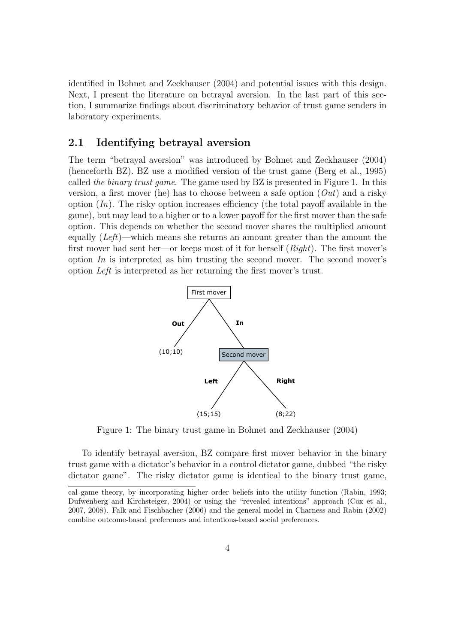identified in [Bohnet and Zeckhauser](#page-30-3) [\(2004\)](#page-30-3) and potential issues with this design. Next, I present the literature on betrayal aversion. In the last part of this section, I summarize findings about discriminatory behavior of trust game senders in laboratory experiments.

#### 2.1 Identifying betrayal aversion

The term "betrayal aversion" was introduced by [Bohnet and Zeckhauser](#page-30-3) [\(2004\)](#page-30-3) (henceforth BZ). BZ use a modified version of the trust game [\(Berg et al., 1995\)](#page-29-9) called the binary trust game. The game used by BZ is presented in Figure [1.](#page-6-0) In this version, a first mover (he) has to choose between a safe option  $(Out)$  and a risky option  $(In)$ . The risky option increases efficiency (the total payoff available in the game), but may lead to a higher or to a lower payoff for the first mover than the safe option. This depends on whether the second mover shares the multiplied amount equally  $(Left)$ —which means she returns an amount greater than the amount the first mover had sent her—or keeps most of it for herself  $(Right)$ . The first mover's option  $In$  is interpreted as him trusting the second mover. The second mover's option Left is interpreted as her returning the first mover's trust.

<span id="page-6-0"></span>

Figure 1: The binary trust game in [Bohnet and Zeckhauser](#page-30-3) [\(2004\)](#page-30-3)

To identify betrayal aversion, BZ compare first mover behavior in the binary trust game with a dictator's behavior in a control dictator game, dubbed "the risky dictator game". The risky dictator game is identical to the binary trust game,

cal game theory, by incorporating higher order beliefs into the utility function [\(Rabin, 1993;](#page-32-11) [Dufwenberg and Kirchsteiger, 2004\)](#page-31-8) or using the "revealed intentions" approach [\(Cox et al.,](#page-30-8) [2007,](#page-30-8) [2008\)](#page-30-9). [Falk and Fischbacher](#page-31-9) [\(2006\)](#page-31-9) and the general model in [Charness and Rabin](#page-30-10) [\(2002\)](#page-30-10) combine outcome-based preferences and intentions-based social preferences.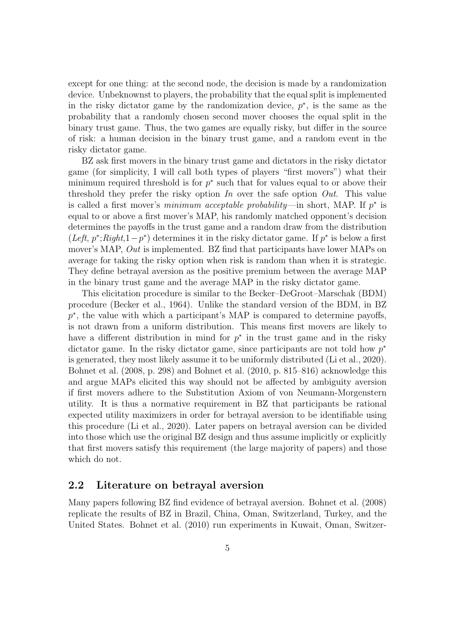except for one thing: at the second node, the decision is made by a randomization device. Unbeknownst to players, the probability that the equal split is implemented in the risky dictator game by the randomization device,  $p^*$ , is the same as the probability that a randomly chosen second mover chooses the equal split in the binary trust game. Thus, the two games are equally risky, but differ in the source of risk: a human decision in the binary trust game, and a random event in the risky dictator game.

BZ ask first movers in the binary trust game and dictators in the risky dictator game (for simplicity, I will call both types of players "first movers") what their minimum required threshold is for  $p^*$  such that for values equal to or above their threshold they prefer the risky option In over the safe option Out. This value is called a first mover's *minimum acceptable probability*—in short, MAP. If  $p^*$  is equal to or above a first mover's MAP, his randomly matched opponent's decision determines the payoffs in the trust game and a random draw from the distribution (Left,  $p^*$ ; Right, 1 –  $p^*$ ) determines it in the risky dictator game. If  $p^*$  is below a first mover's MAP, Out is implemented. BZ find that participants have lower MAPs on average for taking the risky option when risk is random than when it is strategic. They define betrayal aversion as the positive premium between the average MAP in the binary trust game and the average MAP in the risky dictator game.

This elicitation procedure is similar to the Becker–DeGroot–Marschak (BDM) procedure [\(Becker et al., 1964\)](#page-29-10). Unlike the standard version of the BDM, in BZ p<sup>\*</sup>, the value with which a participant's MAP is compared to determine payoffs, is not drawn from a uniform distribution. This means first movers are likely to have a different distribution in mind for  $p^*$  in the trust game and in the risky dictator game. In the risky dictator game, since participants are not told how  $p^*$ is generated, they most likely assume it to be uniformly distributed [\(Li et al., 2020\)](#page-32-10). [Bohnet et al.](#page-29-11) [\(2008,](#page-29-11) p. 298) and [Bohnet et al.](#page-30-11) [\(2010,](#page-30-11) p. 815–816) acknowledge this and argue MAPs elicited this way should not be affected by ambiguity aversion if first movers adhere to the Substitution Axiom of von Neumann-Morgenstern utility. It is thus a normative requirement in BZ that participants be rational expected utility maximizers in order for betrayal aversion to be identifiable using this procedure [\(Li et al., 2020\)](#page-32-10). Later papers on betrayal aversion can be divided into those which use the original BZ design and thus assume implicitly or explicitly that first movers satisfy this requirement (the large majority of papers) and those which do not.

#### 2.2 Literature on betrayal aversion

Many papers following BZ find evidence of betrayal aversion. [Bohnet et al.](#page-29-11) [\(2008\)](#page-29-11) replicate the results of BZ in Brazil, China, Oman, Switzerland, Turkey, and the United States. [Bohnet et al.](#page-30-11) [\(2010\)](#page-30-11) run experiments in Kuwait, Oman, Switzer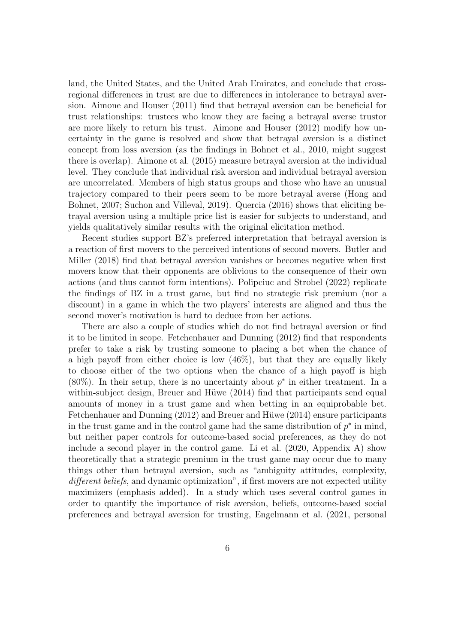land, the United States, and the United Arab Emirates, and conclude that crossregional differences in trust are due to differences in intolerance to betrayal aversion. [Aimone and Houser](#page-29-12) [\(2011\)](#page-29-12) find that betrayal aversion can be beneficial for trust relationships: trustees who know they are facing a betrayal averse trustor are more likely to return his trust. [Aimone and Houser](#page-29-6) [\(2012\)](#page-29-6) modify how uncertainty in the game is resolved and show that betrayal aversion is a distinct concept from loss aversion (as the findings in [Bohnet et al., 2010,](#page-30-11) might suggest there is overlap). [Aimone et al.](#page-29-2) [\(2015\)](#page-29-2) measure betrayal aversion at the individual level. They conclude that individual risk aversion and individual betrayal aversion are uncorrelated. Members of high status groups and those who have an unusual trajectory compared to their peers seem to be more betrayal averse [\(Hong and](#page-32-12) [Bohnet, 2007;](#page-32-12) [Suchon and Villeval, 2019\)](#page-33-4). [Quercia](#page-32-3) [\(2016\)](#page-32-3) shows that eliciting betrayal aversion using a multiple price list is easier for subjects to understand, and yields qualitatively similar results with the original elicitation method.

Recent studies support BZ's preferred interpretation that betrayal aversion is a reaction of first movers to the perceived intentions of second movers. [Butler and](#page-30-4) [Miller](#page-30-4) [\(2018\)](#page-30-4) find that betrayal aversion vanishes or becomes negative when first movers know that their opponents are oblivious to the consequence of their own actions (and thus cannot form intentions). [Polipciuc and Strobel](#page-32-4) [\(2022\)](#page-32-4) replicate the findings of BZ in a trust game, but find no strategic risk premium (nor a discount) in a game in which the two players' interests are aligned and thus the second mover's motivation is hard to deduce from her actions.

There are also a couple of studies which do not find betrayal aversion or find it to be limited in scope. [Fetchenhauer and Dunning](#page-31-10) [\(2012\)](#page-31-10) find that respondents prefer to take a risk by trusting someone to placing a bet when the chance of a high payoff from either choice is low (46%), but that they are equally likely to choose either of the two options when the chance of a high payoff is high (80%). In their setup, there is no uncertainty about  $p^*$  in either treatment. In a within-subject design, Breuer and Hüwe [\(2014\)](#page-30-12) find that participants send equal amounts of money in a trust game and when betting in an equiprobable bet. [Fetchenhauer and Dunning](#page-31-10) [\(2012\)](#page-31-10) and Breuer and Hüwe [\(2014\)](#page-30-12) ensure participants in the trust game and in the control game had the same distribution of  $p^*$  in mind, but neither paper controls for outcome-based social preferences, as they do not include a second player in the control game. [Li et al.](#page-32-10) [\(2020,](#page-32-10) Appendix A) show theoretically that a strategic premium in the trust game may occur due to many things other than betrayal aversion, such as "ambiguity attitudes, complexity, different beliefs, and dynamic optimization", if first movers are not expected utility maximizers (emphasis added). In a study which uses several control games in order to quantify the importance of risk aversion, beliefs, outcome-based social preferences and betrayal aversion for trusting, [Engelmann et al.](#page-31-11) [\(2021,](#page-31-11) personal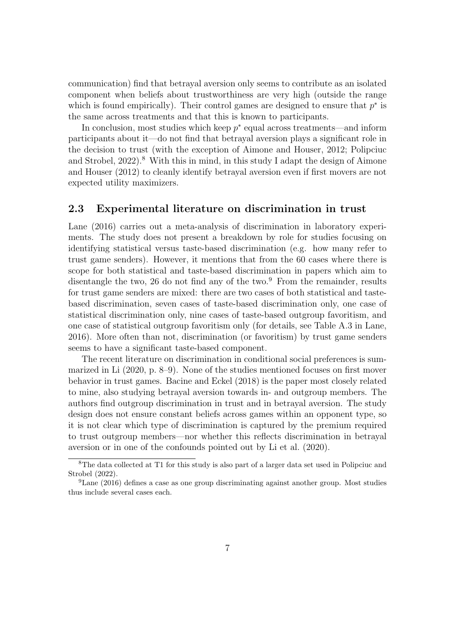communication) find that betrayal aversion only seems to contribute as an isolated component when beliefs about trustworthiness are very high (outside the range which is found empirically). Their control games are designed to ensure that  $p^*$  is the same across treatments and that this is known to participants.

In conclusion, most studies which keep  $p^*$  equal across treatments—and inform participants about it—do not find that betrayal aversion plays a significant role in the decision to trust (with the exception of [Aimone and Houser, 2012;](#page-29-6) [Polipciuc](#page-32-4) [and Strobel, 2022\)](#page-32-4).<sup>[8](#page-9-1)</sup> With this in mind, in this study I adapt the design of [Aimone](#page-29-6) [and Houser](#page-29-6) [\(2012\)](#page-29-6) to cleanly identify betrayal aversion even if first movers are not expected utility maximizers.

#### <span id="page-9-0"></span>2.3 Experimental literature on discrimination in trust

[Lane](#page-32-9) [\(2016\)](#page-32-9) carries out a meta-analysis of discrimination in laboratory experiments. The study does not present a breakdown by role for studies focusing on identifying statistical versus taste-based discrimination (e.g. how many refer to trust game senders). However, it mentions that from the 60 cases where there is scope for both statistical and taste-based discrimination in papers which aim to disentangle the two, 26 do not find any of the two. $9$  From the remainder, results for trust game senders are mixed: there are two cases of both statistical and tastebased discrimination, seven cases of taste-based discrimination only, one case of statistical discrimination only, nine cases of taste-based outgroup favoritism, and one case of statistical outgroup favoritism only (for details, see Table A.3 in [Lane,](#page-32-9) [2016\)](#page-32-9). More often than not, discrimination (or favoritism) by trust game senders seems to have a significant taste-based component.

The recent literature on discrimination in conditional social preferences is summarized in [Li](#page-32-8) [\(2020,](#page-32-8) p. 8–9). None of the studies mentioned focuses on first mover behavior in trust games. [Bacine and Eckel](#page-29-3) [\(2018\)](#page-29-3) is the paper most closely related to mine, also studying betrayal aversion towards in- and outgroup members. The authors find outgroup discrimination in trust and in betrayal aversion. The study design does not ensure constant beliefs across games within an opponent type, so it is not clear which type of discrimination is captured by the premium required to trust outgroup members—nor whether this reflects discrimination in betrayal aversion or in one of the confounds pointed out by [Li et al.](#page-32-10) [\(2020\)](#page-32-10).

<span id="page-9-1"></span><sup>8</sup>The data collected at T1 for this study is also part of a larger data set used in [Polipciuc and](#page-32-4) [Strobel](#page-32-4) [\(2022\)](#page-32-4).

<span id="page-9-2"></span><sup>9</sup>[Lane](#page-32-9) [\(2016\)](#page-32-9) defines a case as one group discriminating against another group. Most studies thus include several cases each.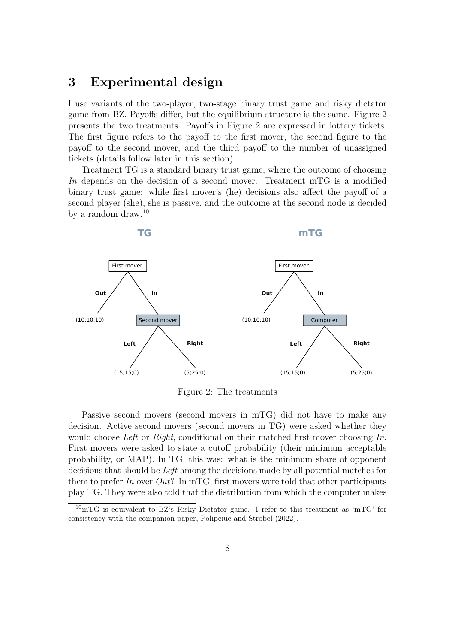## <span id="page-10-0"></span>3 Experimental design

I use variants of the two-player, two-stage binary trust game and risky dictator game from BZ. Payoffs differ, but the equilibrium structure is the same. Figure [2](#page-10-1) presents the two treatments. Payoffs in Figure [2](#page-10-1) are expressed in lottery tickets. The first figure refers to the payoff to the first mover, the second figure to the payoff to the second mover, and the third payoff to the number of unassigned tickets (details follow later in this section).

Treatment TG is a standard binary trust game, where the outcome of choosing In depends on the decision of a second mover. Treatment mTG is a modified binary trust game: while first mover's (he) decisions also affect the payoff of a second player (she), she is passive, and the outcome at the second node is decided by a random draw.[10](#page-10-2)

<span id="page-10-1"></span>

Figure 2: The treatments

Passive second movers (second movers in mTG) did not have to make any decision. Active second movers (second movers in TG) were asked whether they would choose Left or Right, conditional on their matched first mover choosing  $In$ . First movers were asked to state a cutoff probability (their minimum acceptable probability, or MAP). In TG, this was: what is the minimum share of opponent decisions that should be Left among the decisions made by all potential matches for them to prefer In over  $Out?$  In mTG, first movers were told that other participants play TG. They were also told that the distribution from which the computer makes

<span id="page-10-2"></span> $^{10}$ mTG is equivalent to BZ's Risky Dictator game. I refer to this treatment as 'mTG' for consistency with the companion paper, [Polipciuc and Strobel](#page-32-4) [\(2022\)](#page-32-4).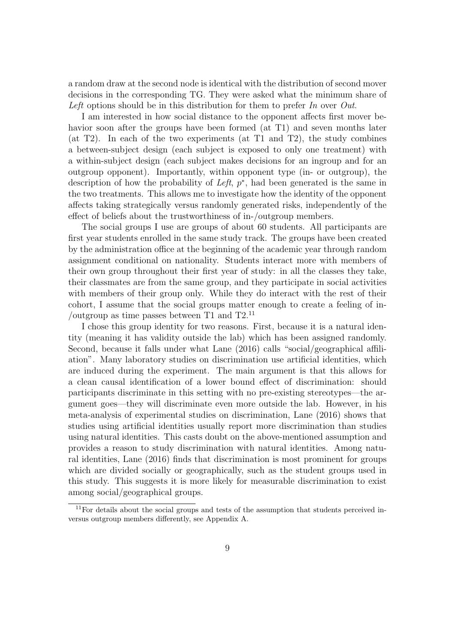a random draw at the second node is identical with the distribution of second mover decisions in the corresponding TG. They were asked what the minimum share of Left options should be in this distribution for them to prefer In over Out.

I am interested in how social distance to the opponent affects first mover behavior soon after the groups have been formed (at T1) and seven months later (at T2). In each of the two experiments (at T1 and T2), the study combines a between-subject design (each subject is exposed to only one treatment) with a within-subject design (each subject makes decisions for an ingroup and for an outgroup opponent). Importantly, within opponent type (in- or outgroup), the description of how the probability of Left,  $p^*$ , had been generated is the same in the two treatments. This allows me to investigate how the identity of the opponent affects taking strategically versus randomly generated risks, independently of the effect of beliefs about the trustworthiness of in-/outgroup members.

The social groups I use are groups of about 60 students. All participants are first year students enrolled in the same study track. The groups have been created by the administration office at the beginning of the academic year through random assignment conditional on nationality. Students interact more with members of their own group throughout their first year of study: in all the classes they take, their classmates are from the same group, and they participate in social activities with members of their group only. While they do interact with the rest of their cohort, I assume that the social groups matter enough to create a feeling of in- /outgroup as time passes between T1 and  $T2<sup>11</sup>$  $T2<sup>11</sup>$  $T2<sup>11</sup>$ 

I chose this group identity for two reasons. First, because it is a natural identity (meaning it has validity outside the lab) which has been assigned randomly. Second, because it falls under what [Lane](#page-32-9) [\(2016\)](#page-32-9) calls "social/geographical affiliation". Many laboratory studies on discrimination use artificial identities, which are induced during the experiment. The main argument is that this allows for a clean causal identification of a lower bound effect of discrimination: should participants discriminate in this setting with no pre-existing stereotypes—the argument goes—they will discriminate even more outside the lab. However, in his meta-analysis of experimental studies on discrimination, [Lane](#page-32-9) [\(2016\)](#page-32-9) shows that studies using artificial identities usually report more discrimination than studies using natural identities. This casts doubt on the above-mentioned assumption and provides a reason to study discrimination with natural identities. Among natural identities, [Lane](#page-32-9) [\(2016\)](#page-32-9) finds that discrimination is most prominent for groups which are divided socially or geographically, such as the student groups used in this study. This suggests it is more likely for measurable discrimination to exist among social/geographical groups.

<span id="page-11-0"></span> $11$  For details about the social groups and tests of the assumption that students perceived inversus outgroup members differently, see Appendix [A.](#page-34-0)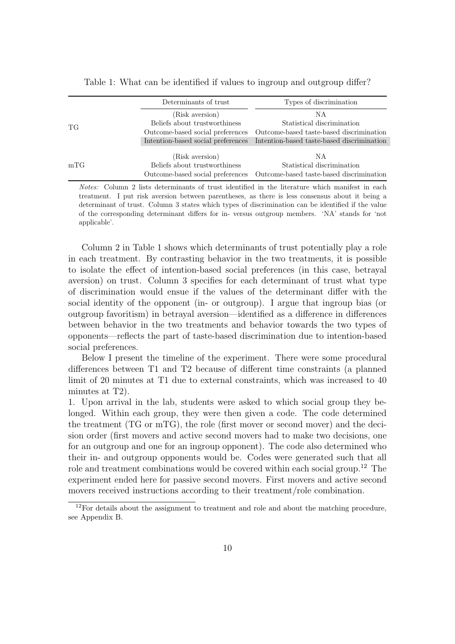|     | Determinants of trust         | Types of discrimination                                                       |
|-----|-------------------------------|-------------------------------------------------------------------------------|
|     | (Risk aversion)               | NА                                                                            |
| TG  | Beliefs about trustworthiness | Statistical discrimination                                                    |
|     |                               | Outcome-based social preferences Outcome-based taste-based discrimination     |
|     |                               | Intention-based social preferences Intention-based taste-based discrimination |
|     | (Risk aversion)               | ΝA                                                                            |
| mTG | Beliefs about trustworthiness | Statistical discrimination                                                    |
|     |                               | Outcome-based social preferences Outcome-based taste-based discrimination     |

<span id="page-12-0"></span>Table 1: What can be identified if values to ingroup and outgroup differ?

Notes: Column 2 lists determinants of trust identified in the literature which manifest in each treatment. I put risk aversion between parentheses, as there is less consensus about it being a determinant of trust. Column 3 states which types of discrimination can be identified if the value of the corresponding determinant differs for in- versus outgroup members. 'NA' stands for 'not applicable'.

Column 2 in Table [1](#page-12-0) shows which determinants of trust potentially play a role in each treatment. By contrasting behavior in the two treatments, it is possible to isolate the effect of intention-based social preferences (in this case, betrayal aversion) on trust. Column 3 specifies for each determinant of trust what type of discrimination would ensue if the values of the determinant differ with the social identity of the opponent (in- or outgroup). I argue that ingroup bias (or outgroup favoritism) in betrayal aversion—identified as a difference in differences between behavior in the two treatments and behavior towards the two types of opponents—reflects the part of taste-based discrimination due to intention-based social preferences.

Below I present the timeline of the experiment. There were some procedural differences between T1 and T2 because of different time constraints (a planned limit of 20 minutes at T1 due to external constraints, which was increased to 40 minutes at T2).

1. Upon arrival in the lab, students were asked to which social group they belonged. Within each group, they were then given a code. The code determined the treatment (TG or mTG), the role (first mover or second mover) and the decision order (first movers and active second movers had to make two decisions, one for an outgroup and one for an ingroup opponent). The code also determined who their in- and outgroup opponents would be. Codes were generated such that all role and treatment combinations would be covered within each social group.<sup>[12](#page-12-1)</sup> The experiment ended here for passive second movers. First movers and active second movers received instructions according to their treatment/role combination.

<span id="page-12-1"></span><sup>&</sup>lt;sup>12</sup>For details about the assignment to treatment and role and about the matching procedure, see Appendix [B.](#page-36-0)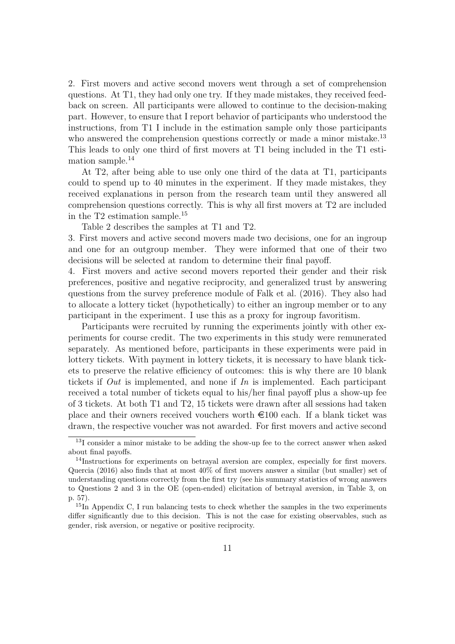2. First movers and active second movers went through a set of comprehension questions. At T1, they had only one try. If they made mistakes, they received feedback on screen. All participants were allowed to continue to the decision-making part. However, to ensure that I report behavior of participants who understood the instructions, from T1 I include in the estimation sample only those participants who answered the comprehension questions correctly or made a minor mistake.<sup>[13](#page-13-0)</sup> This leads to only one third of first movers at T1 being included in the T1 estimation sample.[14](#page-13-1)

At T2, after being able to use only one third of the data at T1, participants could to spend up to 40 minutes in the experiment. If they made mistakes, they received explanations in person from the research team until they answered all comprehension questions correctly. This is why all first movers at T2 are included in the T2 estimation sample.<sup>[15](#page-13-2)</sup>

Table [2](#page-14-1) describes the samples at T1 and T2.

3. First movers and active second movers made two decisions, one for an ingroup and one for an outgroup member. They were informed that one of their two decisions will be selected at random to determine their final payoff.

4. First movers and active second movers reported their gender and their risk preferences, positive and negative reciprocity, and generalized trust by answering questions from the survey preference module of [Falk et al.](#page-31-12) [\(2016\)](#page-31-12). They also had to allocate a lottery ticket (hypothetically) to either an ingroup member or to any participant in the experiment. I use this as a proxy for ingroup favoritism.

Participants were recruited by running the experiments jointly with other experiments for course credit. The two experiments in this study were remunerated separately. As mentioned before, participants in these experiments were paid in lottery tickets. With payment in lottery tickets, it is necessary to have blank tickets to preserve the relative efficiency of outcomes: this is why there are 10 blank tickets if  $Out$  is implemented, and none if In is implemented. Each participant received a total number of tickets equal to his/her final payoff plus a show-up fee of 3 tickets. At both T1 and T2, 15 tickets were drawn after all sessions had taken place and their owners received vouchers worth  $\epsilon$ 100 each. If a blank ticket was drawn, the respective voucher was not awarded. For first movers and active second

<span id="page-13-0"></span><sup>13</sup>I consider a minor mistake to be adding the show-up fee to the correct answer when asked about final payoffs.

<span id="page-13-1"></span><sup>&</sup>lt;sup>14</sup>Instructions for experiments on betrayal aversion are complex, especially for first movers. [Quercia](#page-32-3) [\(2016\)](#page-32-3) also finds that at most 40% of first movers answer a similar (but smaller) set of understanding questions correctly from the first try (see his summary statistics of wrong answers to Questions 2 and 3 in the OE (open-ended) elicitation of betrayal aversion, in Table 3, on p. 57).

<span id="page-13-2"></span> $15\text{In}$  Appendix [C,](#page-38-0) I run balancing tests to check whether the samples in the two experiments differ significantly due to this decision. This is not the case for existing observables, such as gender, risk aversion, or negative or positive reciprocity.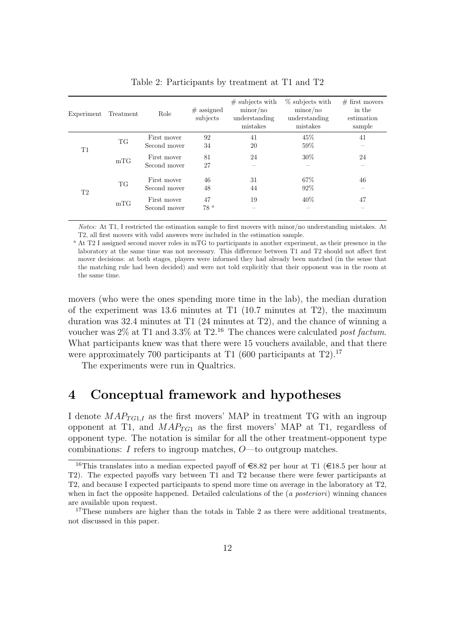<span id="page-14-1"></span>

| Experiment     | Treatment | Role                        | $#$ assigned<br>subjects | $\#$ subjects with<br>minor/no<br>understanding<br>mistakes | $\%$ subjects with<br>minor/no<br>understanding<br>mistakes | $#$ first movers<br>in the<br>estimation<br>sample |
|----------------|-----------|-----------------------------|--------------------------|-------------------------------------------------------------|-------------------------------------------------------------|----------------------------------------------------|
| T1             | TG        | First mover<br>Second mover | 92<br>34                 | 41<br>20                                                    | 45%<br>59%                                                  | 41                                                 |
|                | mTG       | First mover<br>Second mover | 81<br>27                 | 24                                                          | $30\%$                                                      | 24                                                 |
| T <sub>2</sub> | <b>TG</b> | First mover<br>Second mover | 46<br>48                 | 31<br>44                                                    | 67%<br>92%                                                  | 46                                                 |
|                | mTG       | First mover<br>Second mover | 47<br>78 <sup>a</sup>    | 19                                                          | 40%                                                         | 47                                                 |
|                |           |                             |                          |                                                             |                                                             |                                                    |

Table 2: Participants by treatment at T1 and T2

Notes: At T1, I restricted the estimation sample to first movers with minor/no understanding mistakes. At T2, all first movers with valid answers were included in the estimation sample.

<sup>a</sup> At T2 I assigned second mover roles in mTG to participants in another experiment, as their presence in the laboratory at the same time was not necessary. This difference between T1 and T2 should not affect first mover decisions: at both stages, players were informed they had already been matched (in the sense that the matching rule had been decided) and were not told explicitly that their opponent was in the room at the same time.

movers (who were the ones spending more time in the lab), the median duration of the experiment was 13.6 minutes at T1 (10.7 minutes at T2), the maximum duration was 32.4 minutes at T1 (24 minutes at T2), and the chance of winning a voucher was  $2\%$  at T1 and  $3.3\%$  at T2.<sup>[16](#page-14-2)</sup> The chances were calculated post factum. What participants knew was that there were 15 vouchers available, and that there were approximately 700 participants at T1 (600 participants at T2).<sup>[17](#page-14-3)</sup>

The experiments were run in Qualtrics.

## <span id="page-14-0"></span>4 Conceptual framework and hypotheses

I denote  $MAP_{TG1,I}$  as the first movers' MAP in treatment TG with an ingroup opponent at T1, and  $MAP_{TG1}$  as the first movers' MAP at T1, regardless of opponent type. The notation is similar for all the other treatment-opponent type combinations: I refers to ingroup matches, O—to outgroup matches.

<span id="page-14-2"></span><sup>&</sup>lt;sup>16</sup>This translates into a median expected payoff of  $\in$ 8.82 per hour at T1 ( $\in$ 18.5 per hour at T2). The expected payoffs vary between T1 and T2 because there were fewer participants at T2, and because I expected participants to spend more time on average in the laboratory at T2, when in fact the opposite happened. Detailed calculations of the  $(a\ posteriori)$  winning chances are available upon request.

<span id="page-14-3"></span><sup>&</sup>lt;sup>17</sup>These numbers are higher than the totals in Table [2](#page-14-1) as there were additional treatments, not discussed in this paper.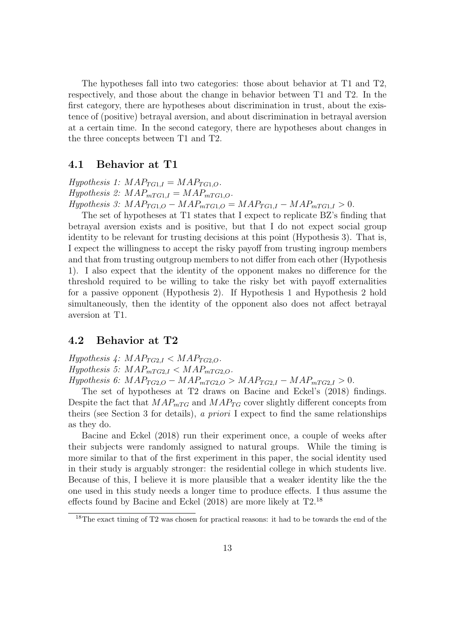The hypotheses fall into two categories: those about behavior at T1 and T2, respectively, and those about the change in behavior between T1 and T2. In the first category, there are hypotheses about discrimination in trust, about the existence of (positive) betrayal aversion, and about discrimination in betrayal aversion at a certain time. In the second category, there are hypotheses about changes in the three concepts between T1 and T2.

#### <span id="page-15-1"></span>4.1 Behavior at T1

Hypothesis 1:  $MAP_{TGLI} = MAP_{TGLO}$ . Hypothesis 2:  $MAP_{mTG1,I} = MAP_{mTG1,O}$ .  $Hypothesis$  3:  $MAP_{TG1,O} - MAP_{mTG1,O} = MAP_{TG1,I} - MAP_{mTG1,I} > 0.$ 

The set of hypotheses at T1 states that I expect to replicate BZ's finding that betrayal aversion exists and is positive, but that I do not expect social group identity to be relevant for trusting decisions at this point (Hypothesis 3). That is, I expect the willingness to accept the risky payoff from trusting ingroup members and that from trusting outgroup members to not differ from each other (Hypothesis 1). I also expect that the identity of the opponent makes no difference for the threshold required to be willing to take the risky bet with payoff externalities for a passive opponent (Hypothesis 2). If Hypothesis 1 and Hypothesis 2 hold simultaneously, then the identity of the opponent also does not affect betrayal aversion at T1.

#### <span id="page-15-2"></span>4.2 Behavior at T2

 $Hypothesis \nvert4: MAP_{TG2,I} < MAP_{TG2,O}.$ Hypothesis 5:  $MAP_{mTG2,I} < MAP_{mTG2,O}$ .  $Hypothesis 6: MAP_{TG2,O} - MAP_{mTG2,O} > MAP_{TG2,I} - MAP_{mTG2,I} > 0.$ 

The set of hypotheses at T2 draws on [Bacine and Eckel'](#page-29-3)s [\(2018\)](#page-29-3) findings. Despite the fact that  $MAP_{mTG}$  and  $MAP_{TG}$  cover slightly different concepts from theirs (see Section [3](#page-10-0) for details), a priori I expect to find the same relationships as they do.

[Bacine and Eckel](#page-29-3) [\(2018\)](#page-29-3) run their experiment once, a couple of weeks after their subjects were randomly assigned to natural groups. While the timing is more similar to that of the first experiment in this paper, the social identity used in their study is arguably stronger: the residential college in which students live. Because of this, I believe it is more plausible that a weaker identity like the the one used in this study needs a longer time to produce effects. I thus assume the effects found by [Bacine and Eckel](#page-29-3) [\(2018\)](#page-29-3) are more likely at T2.[18](#page-15-0)

<span id="page-15-0"></span><sup>&</sup>lt;sup>18</sup>The exact timing of T2 was chosen for practical reasons: it had to be towards the end of the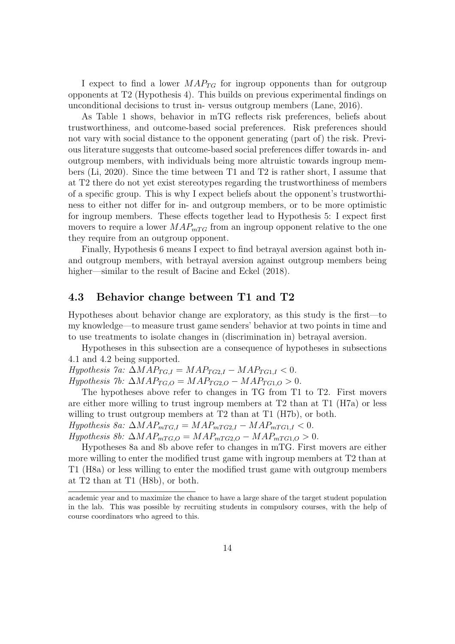I expect to find a lower  $MAP_{TG}$  for ingroup opponents than for outgroup opponents at T2 (Hypothesis 4). This builds on previous experimental findings on unconditional decisions to trust in- versus outgroup members [\(Lane, 2016\)](#page-32-9).

As Table [1](#page-12-0) shows, behavior in mTG reflects risk preferences, beliefs about trustworthiness, and outcome-based social preferences. Risk preferences should not vary with social distance to the opponent generating (part of) the risk. Previous literature suggests that outcome-based social preferences differ towards in- and outgroup members, with individuals being more altruistic towards ingroup members [\(Li, 2020\)](#page-32-8). Since the time between T1 and T2 is rather short, I assume that at T2 there do not yet exist stereotypes regarding the trustworthiness of members of a specific group. This is why I expect beliefs about the opponent's trustworthiness to either not differ for in- and outgroup members, or to be more optimistic for ingroup members. These effects together lead to Hypothesis 5: I expect first movers to require a lower  $MAP_{mTG}$  from an ingroup opponent relative to the one they require from an outgroup opponent.

Finally, Hypothesis 6 means I expect to find betrayal aversion against both inand outgroup members, with betrayal aversion against outgroup members being higher—similar to the result of [Bacine and Eckel](#page-29-3)  $(2018)$ .

#### 4.3 Behavior change between T1 and T2

Hypotheses about behavior change are exploratory, as this study is the first—to my knowledge—to measure trust game senders' behavior at two points in time and to use treatments to isolate changes in (discrimination in) betrayal aversion.

Hypotheses in this subsection are a consequence of hypotheses in subsections [4.1](#page-15-1) and [4.2](#page-15-2) being supported.

 $Hypothesis$  7a:  $\Delta MAP_{TG,I} = MAP_{TG2,I} - MAP_{TG1,I} < 0.$ 

 $Hypothesis$  7b:  $\Delta MAP_{TG,O} = MAP_{TG2,O} - MAP_{TG1,O} > 0.$ 

The hypotheses above refer to changes in TG from T1 to T2. First movers are either more willing to trust ingroup members at T2 than at T1 (H7a) or less willing to trust outgroup members at T2 than at T1 (H7b), or both.  $Hypothesis$  8a:  $\Delta MAP_{mTG,I} = MAP_{mTG2,I} - MAP_{mTG1,I} < 0.$ 

 $Hypothesis 8b: \Delta MAP_{mTG,O} = MAP_{mTG2,O} - MAP_{mTG1,O} > 0.$ 

Hypotheses 8a and 8b above refer to changes in mTG. First movers are either more willing to enter the modified trust game with ingroup members at T2 than at T1 (H8a) or less willing to enter the modified trust game with outgroup members at T2 than at T1 (H8b), or both.

academic year and to maximize the chance to have a large share of the target student population in the lab. This was possible by recruiting students in compulsory courses, with the help of course coordinators who agreed to this.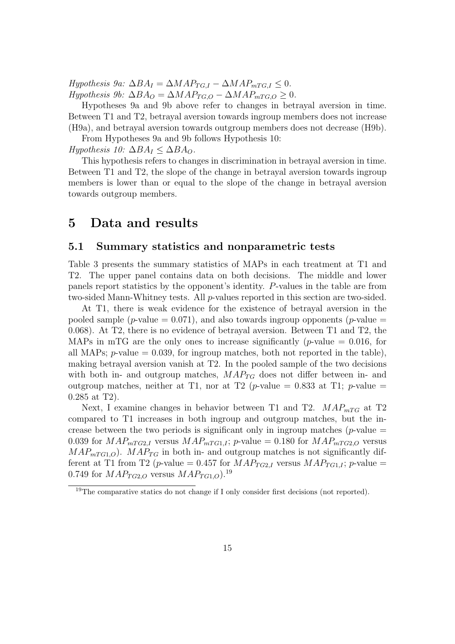$Hypothesis$  9a:  $\Delta BA_I = \Delta MAP_{TG,I} - \Delta MAP_{mTG,I} \leq 0$ .  $Hypothesis 9b: \Delta BA_O = \Delta MAP_{TG,O} - \Delta MAP_{mTG,O} \geq 0.$ 

Hypotheses 9a and 9b above refer to changes in betrayal aversion in time. Between T1 and T2, betrayal aversion towards ingroup members does not increase (H9a), and betrayal aversion towards outgroup members does not decrease (H9b).

From Hypotheses 9a and 9b follows Hypothesis 10: Hypothesis 10:  $\Delta BA_I \leq \Delta BA_O$ .

This hypothesis refers to changes in discrimination in betrayal aversion in time. Between T1 and T2, the slope of the change in betrayal aversion towards ingroup members is lower than or equal to the slope of the change in betrayal aversion towards outgroup members.

### <span id="page-17-0"></span>5 Data and results

#### 5.1 Summary statistics and nonparametric tests

Table [3](#page-18-0) presents the summary statistics of MAPs in each treatment at T1 and T2. The upper panel contains data on both decisions. The middle and lower panels report statistics by the opponent's identity. P-values in the table are from two-sided Mann-Whitney tests. All p-values reported in this section are two-sided.

At T1, there is weak evidence for the existence of betrayal aversion in the pooled sample (p-value  $= 0.071$ ), and also towards ingroup opponents (p-value  $=$ 0.068). At T2, there is no evidence of betrayal aversion. Between T1 and T2, the MAPs in mTG are the only ones to increase significantly (*p*-value  $= 0.016$ , for all MAPs;  $p$ -value = 0.039, for ingroup matches, both not reported in the table), making betrayal aversion vanish at T2. In the pooled sample of the two decisions with both in- and outgroup matches,  $MAP_{TG}$  does not differ between in- and outgroup matches, neither at T1, nor at T2 (p-value = 0.833 at T1; p-value = 0.285 at T2).

Next, I examine changes in behavior between T1 and T2.  $MAP_{mTG}$  at T2 compared to T1 increases in both ingroup and outgroup matches, but the increase between the two periods is significant only in ingroup matches ( $p$ -value = 0.039 for  $MAP_{mTG2,I}$  versus  $MAP_{mTG1,I}$ ; p-value = 0.180 for  $MAP_{mTG2,O}$  versus  $MAP_{mTG1,O}$ .  $MAP_{TG}$  in both in- and outgroup matches is not significantly different at T1 from T2 (p-value = 0.457 for  $MAP_{TG2,I}$  versus  $MAP_{TG1,I}$ ; p-value = 0.749 for  $MAP_{TG2,O}$  versus  $MAP_{TG1,O}$ .<sup>[19](#page-17-1)</sup>

<span id="page-17-1"></span><sup>&</sup>lt;sup>19</sup>The comparative statics do not change if I only consider first decisions (not reported).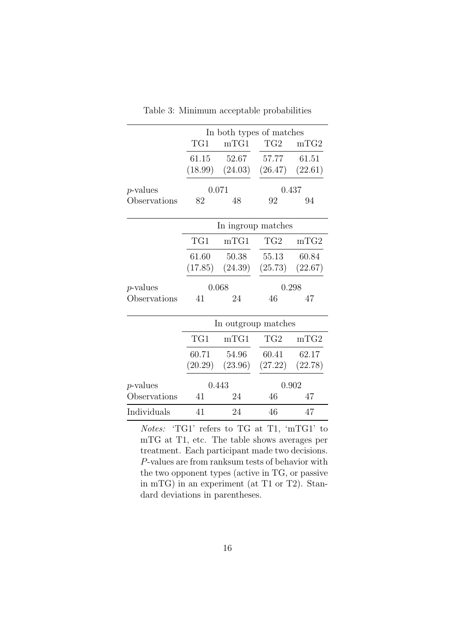<span id="page-18-0"></span>

|                  | In both types of matches |             |                                         |       |  |
|------------------|--------------------------|-------------|-----------------------------------------|-------|--|
|                  | TGI                      | mTGI        | TG2                                     | mTG2  |  |
|                  |                          | 61.15 52.67 | 57.77 61.51                             |       |  |
|                  |                          |             | $(18.99)$ $(24.03)$ $(26.47)$ $(22.61)$ |       |  |
| <i>p</i> -values | 0.071                    |             |                                         | 0.437 |  |
| Observations     | 82                       | 48          | 92                                      | 94    |  |
|                  | In ingroup matches       |             |                                         |       |  |
|                  | TG1                      | mTGI        | TG2                                     | mTG2  |  |
|                  |                          | 61.60 50.38 | 55.13 60.84                             |       |  |
|                  |                          |             | $(17.85)$ $(24.39)$ $(25.73)$ $(22.67)$ |       |  |
| $p$ -values      | 0.298<br>0.068           |             |                                         |       |  |
| Observations     | 41                       | 24          | 46                                      | 47    |  |
|                  |                          |             |                                         |       |  |
|                  |                          |             | In outgroup matches                     |       |  |

Table 3: Minimum acceptable probabilities

|              | In outgroup matches |         |                     |       |  |
|--------------|---------------------|---------|---------------------|-------|--|
|              | TG1                 | mTGI    | TG <sub>2</sub>     | mTG2  |  |
|              | 60.71               | 54.96   | 60.41               | 62.17 |  |
|              | (20.29)             | (23.96) | $(27.22)$ $(22.78)$ |       |  |
| $p$ -values  |                     | 0.443   |                     | 0.902 |  |
| Observations | 41                  | 24      | 46                  | 47    |  |
| Individuals  |                     |         |                     |       |  |

Notes: 'TG1' refers to TG at T1, 'mTG1' to mTG at T1, etc. The table shows averages per treatment. Each participant made two decisions. P-values are from ranksum tests of behavior with the two opponent types (active in TG, or passive in mTG) in an experiment (at T1 or T2). Standard deviations in parentheses.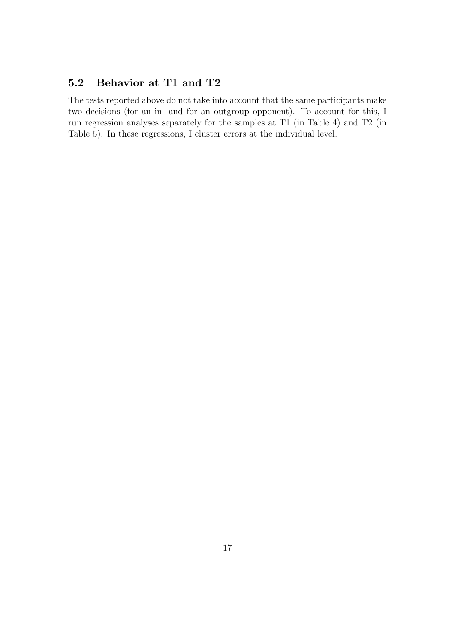## 5.2 Behavior at T1 and T2

The tests reported above do not take into account that the same participants make two decisions (for an in- and for an outgroup opponent). To account for this, I run regression analyses separately for the samples at T1 (in Table [4\)](#page-20-0) and T2 (in Table [5\)](#page-22-0). In these regressions, I cluster errors at the individual level.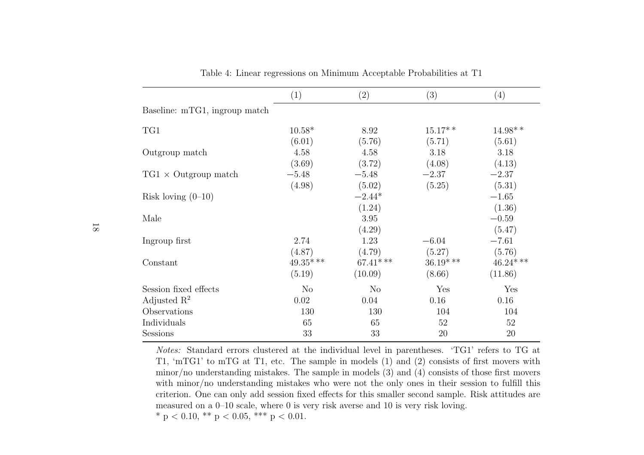|                               | (1)            | (2)            | (3)         | (4)        |
|-------------------------------|----------------|----------------|-------------|------------|
| Baseline: mTG1, ingroup match |                |                |             |            |
| TG1                           | $10.58*$       | 8.92           | $15.17**$   | $14.98**$  |
|                               | (6.01)         | (5.76)         | (5.71)      | (5.61)     |
| Outgroup match                | 4.58           | 4.58           | 3.18        | 3.18       |
|                               | (3.69)         | (3.72)         | (4.08)      | (4.13)     |
| $TG1 \times$ Outgroup match   | $-5.48$        | $-5.48$        | $-2.37$     | $-2.37$    |
|                               | (4.98)         | (5.02)         | (5.25)      | (5.31)     |
| Risk loving $(0-10)$          |                | $-2.44*$       |             | $-1.65$    |
|                               |                | (1.24)         |             | (1.36)     |
| Male                          |                | 3.95           |             | $-0.59$    |
|                               |                | (4.29)         |             | (5.47)     |
| Ingroup first                 | 2.74           | 1.23           | $-6.04$     | $-7.61$    |
|                               | (4.87)         | (4.79)         | (5.27)      | (5.76)     |
| Constant                      | $49.35***$     | $67.41***$     | $36.19$ *** | $46.24***$ |
|                               | (5.19)         | (10.09)        | (8.66)      | (11.86)    |
| Session fixed effects         | N <sub>o</sub> | N <sub>o</sub> | Yes         | Yes        |
| Adjusted $\mathbb{R}^2$       | 0.02           | 0.04           | 0.16        | 0.16       |
| Observations                  | 130            | 130            | 104         | 104        |
| Individuals                   | 65             | 65             | 52          | 52         |
| <b>Sessions</b>               | 33             | 33             | 20          | 20         |

<span id="page-20-0"></span>Table 4: Linear regressions on Minimum Acceptable Probabilities at T1

Notes: Standard errors clustered at the individual level in parentheses. 'TG1' refers to TG at T1, 'mTG1' to mTG at T1, etc. The sample in models (1) and (2) consists of first movers with minor/no understanding mistakes. The sample in models (3) and (4) consists of those first moverswith minor/no understanding mistakes who were not the only ones in their session to fulfill this criterion. One can only add session fixed effects for this smaller second sample. Risk attitudes aremeasured on <sup>a</sup> 0–10 scale, where 0 is very risk averse and 10 is very risk loving.\* p < 0.10, \*\* p < 0.05, \*\*\* p < 0.01.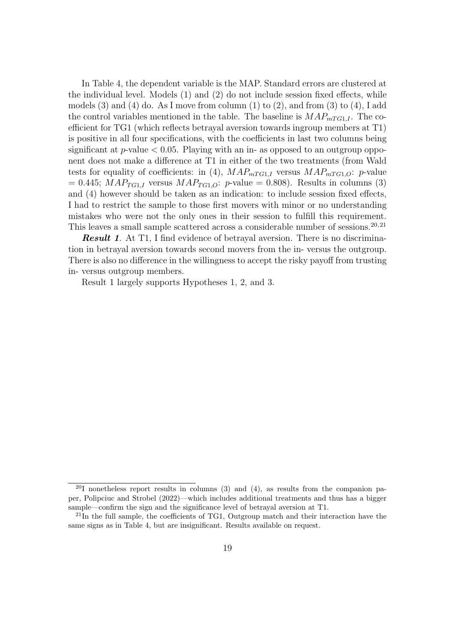In Table [4,](#page-20-0) the dependent variable is the MAP. Standard errors are clustered at the individual level. Models (1) and (2) do not include session fixed effects, while models  $(3)$  and  $(4)$  do. As I move from column  $(1)$  to  $(2)$ , and from  $(3)$  to  $(4)$ , I add the control variables mentioned in the table. The baseline is  $MAP_{mTGI,I}$ . The coefficient for TG1 (which reflects betrayal aversion towards ingroup members at T1) is positive in all four specifications, with the coefficients in last two columns being significant at  $p$ -value  $< 0.05$ . Playing with an in- as opposed to an outgroup opponent does not make a difference at T1 in either of the two treatments (from Wald tests for equality of coefficients: in (4),  $MAP_{mTG1,I}$  versus  $MAP_{mTG1,O}$ : p-value  $= 0.445$ ;  $MAP_{TG1,I}$  versus  $MAP_{TG1,O}$ : p-value  $= 0.808$ ). Results in columns (3) and (4) however should be taken as an indication: to include session fixed effects, I had to restrict the sample to those first movers with minor or no understanding mistakes who were not the only ones in their session to fulfill this requirement. This leaves a small sample scattered across a considerable number of sessions.<sup>[20,](#page-21-0)[21](#page-21-1)</sup>

**Result 1.** At T1, I find evidence of betrayal aversion. There is no discrimination in betrayal aversion towards second movers from the in- versus the outgroup. There is also no difference in the willingness to accept the risky payoff from trusting in- versus outgroup members.

Result 1 largely supports Hypotheses 1, 2, and 3.

<span id="page-21-0"></span> $^{20}$ I nonetheless report results in columns (3) and (4), as results from the companion paper, [Polipciuc and Strobel](#page-32-4) [\(2022\)](#page-32-4)—which includes additional treatments and thus has a bigger sample—confirm the sign and the significance level of betrayal aversion at T1.

<span id="page-21-1"></span> $^{21}$ In the full sample, the coefficients of TG1, Outgroup match and their interaction have the same signs as in Table [4,](#page-20-0) but are insignificant. Results available on request.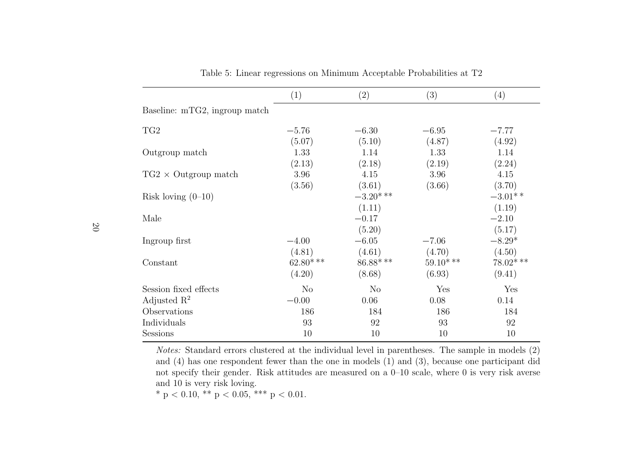|                               | (1)            | (2)         | (3)         | (4)         |
|-------------------------------|----------------|-------------|-------------|-------------|
| Baseline: mTG2, ingroup match |                |             |             |             |
| TG <sub>2</sub>               | $-5.76$        | $-6.30$     | $-6.95$     | $-7.77$     |
|                               | (5.07)         | (5.10)      | (4.87)      | (4.92)      |
| Outgroup match                | 1.33           | 1.14        | 1.33        | 1.14        |
|                               | (2.13)         | (2.18)      | (2.19)      | (2.24)      |
| $TG2 \times$ Outgroup match   | 3.96           | 4.15        | 3.96        | 4.15        |
|                               | (3.56)         | (3.61)      | (3.66)      | (3.70)      |
| Risk loving $(0-10)$          |                | $-3.20$ *** |             | $-3.01**$   |
|                               |                | (1.11)      |             | (1.19)      |
| Male                          |                | $-0.17$     |             | $-2.10$     |
|                               |                | (5.20)      |             | (5.17)      |
| Ingroup first                 | $-4.00$        | $-6.05$     | $-7.06$     | $-8.29*$    |
|                               | (4.81)         | (4.61)      | (4.70)      | (4.50)      |
| Constant                      | $62.80$ ***    | $86.88$ *** | $59.10$ *** | $78.02$ *** |
|                               | (4.20)         | (8.68)      | (6.93)      | (9.41)      |
| Session fixed effects         | N <sub>o</sub> | $\rm No$    | Yes         | Yes         |
| Adjusted $\mathbb{R}^2$       | $-0.00$        | 0.06        | 0.08        | 0.14        |
| Observations                  | 186            | 184         | 186         | 184         |
| Individuals                   | 93             | 92          | 93          | 92          |
| <b>Sessions</b>               | 10             | 10          | 10          | 10          |

<span id="page-22-0"></span>Table 5: Linear regressions on Minimum Acceptable Probabilities at T2

Notes: Standard errors clustered at the individual level in parentheses. The sample in models  $(2)$  and (4) has one respondent fewer than the one in models (1) and (3), because one participant did not specify their gender. Risk attitudes are measured on <sup>a</sup> 0–10 scale, where 0 is very risk averseand 10 is very risk loving.

\* p < 0.10, \*\* p < 0.05, \*\*\* p < 0.01.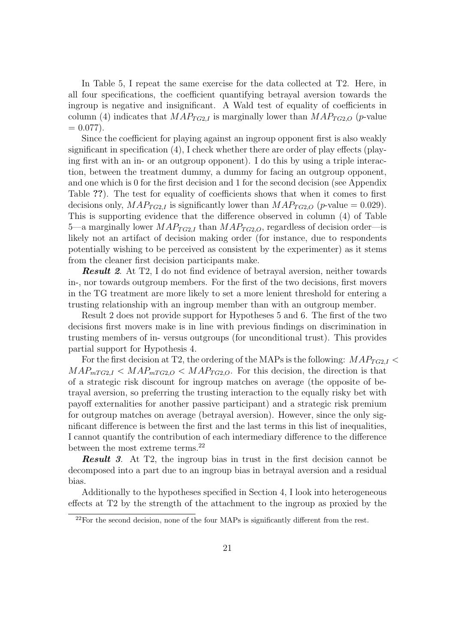In Table [5,](#page-22-0) I repeat the same exercise for the data collected at T2. Here, in all four specifications, the coefficient quantifying betrayal aversion towards the ingroup is negative and insignificant. A Wald test of equality of coefficients in column (4) indicates that  $MAP_{TG2,I}$  is marginally lower than  $MAP_{TG2,O}$  (*p*-value  $= 0.077$ ).

Since the coefficient for playing against an ingroup opponent first is also weakly significant in specification (4), I check whether there are order of play effects (playing first with an in- or an outgroup opponent). I do this by using a triple interaction, between the treatment dummy, a dummy for facing an outgroup opponent, and one which is 0 for the first decision and 1 for the second decision (see Appendix Table ??). The test for equality of coefficients shows that when it comes to first decisions only,  $MAP_{TG2,I}$  is significantly lower than  $MAP_{TG2,O}$  (*p*-value = 0.029). This is supporting evidence that the difference observed in column (4) of Table [5—](#page-22-0)a marginally lower  $MAP_{TG2,I}$  than  $MAP_{TG2,O}$ , regardless of decision order—is likely not an artifact of decision making order (for instance, due to respondents potentially wishing to be perceived as consistent by the experimenter) as it stems from the cleaner first decision participants make.

Result 2. At T2, I do not find evidence of betrayal aversion, neither towards in-, nor towards outgroup members. For the first of the two decisions, first movers in the TG treatment are more likely to set a more lenient threshold for entering a trusting relationship with an ingroup member than with an outgroup member.

Result 2 does not provide support for Hypotheses 5 and 6. The first of the two decisions first movers make is in line with previous findings on discrimination in trusting members of in- versus outgroups (for unconditional trust). This provides partial support for Hypothesis 4.

For the first decision at T2, the ordering of the MAPs is the following:  $MAP_{TG2,I}$  $MAP_{mTG2,I} < MAP_{mTG2,O} < MAP_{TG2,O}$ . For this decision, the direction is that of a strategic risk discount for ingroup matches on average (the opposite of betrayal aversion, so preferring the trusting interaction to the equally risky bet with payoff externalities for another passive participant) and a strategic risk premium for outgroup matches on average (betrayal aversion). However, since the only significant difference is between the first and the last terms in this list of inequalities, I cannot quantify the contribution of each intermediary difference to the difference between the most extreme terms.<sup>[22](#page-23-0)</sup>

**Result 3.** At T2, the ingroup bias in trust in the first decision cannot be decomposed into a part due to an ingroup bias in betrayal aversion and a residual bias.

Additionally to the hypotheses specified in Section [4,](#page-14-0) I look into heterogeneous effects at T2 by the strength of the attachment to the ingroup as proxied by the

<span id="page-23-0"></span> $22$ For the second decision, none of the four MAPs is significantly different from the rest.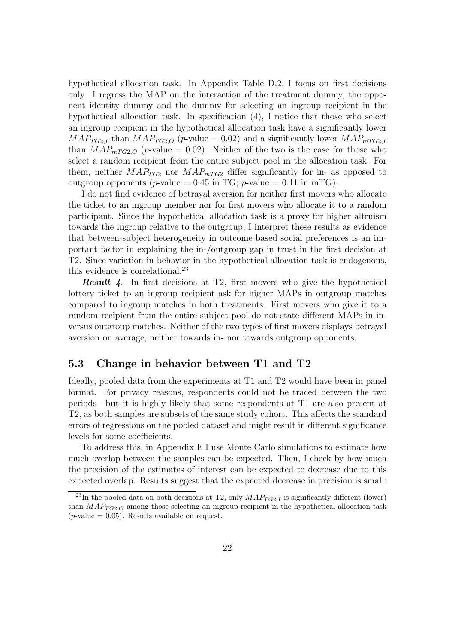hypothetical allocation task. In Appendix Table [D.2,](#page-44-0) I focus on first decisions only. I regress the MAP on the interaction of the treatment dummy, the opponent identity dummy and the dummy for selecting an ingroup recipient in the hypothetical allocation task. In specification (4), I notice that those who select an ingroup recipient in the hypothetical allocation task have a significantly lower  $MAP_{TG2,I}$  than  $MAP_{TG2,O}$  (p-value = 0.02) and a significantly lower  $MAP_{mTG2,I}$ than  $MAP_{mT G2,O}$  (*p*-value = 0.02). Neither of the two is the case for those who select a random recipient from the entire subject pool in the allocation task. For them, neither  $MAP_{TG2}$  nor  $MAP_{mTG2}$  differ significantly for in- as opposed to outgroup opponents (*p*-value =  $0.45$  in TG; *p*-value =  $0.11$  in mTG).

I do not find evidence of betrayal aversion for neither first movers who allocate the ticket to an ingroup member nor for first movers who allocate it to a random participant. Since the hypothetical allocation task is a proxy for higher altruism towards the ingroup relative to the outgroup, I interpret these results as evidence that between-subject heterogeneity in outcome-based social preferences is an important factor in explaining the in-/outgroup gap in trust in the first decision at T2. Since variation in behavior in the hypothetical allocation task is endogenous, this evidence is correlational.<sup>[23](#page-24-0)</sup>

**Result 4.** In first decisions at T2, first movers who give the hypothetical lottery ticket to an ingroup recipient ask for higher MAPs in outgroup matches compared to ingroup matches in both treatments. First movers who give it to a random recipient from the entire subject pool do not state different MAPs in inversus outgroup matches. Neither of the two types of first movers displays betrayal aversion on average, neither towards in- nor towards outgroup opponents.

#### 5.3 Change in behavior between T1 and T2

Ideally, pooled data from the experiments at T1 and T2 would have been in panel format. For privacy reasons, respondents could not be traced between the two periods—but it is highly likely that some respondents at T1 are also present at T2, as both samples are subsets of the same study cohort. This affects the standard errors of regressions on the pooled dataset and might result in different significance levels for some coefficients.

To address this, in Appendix [E](#page-45-0) I use Monte Carlo simulations to estimate how much overlap between the samples can be expected. Then, I check by how much the precision of the estimates of interest can be expected to decrease due to this expected overlap. Results suggest that the expected decrease in precision is small:

<span id="page-24-0"></span><sup>&</sup>lt;sup>23</sup>In the pooled data on both decisions at T2, only  $MAP_{TG2,I}$  is significantly different (lower) than  $MAP_{TG2,O}$  among those selecting an ingroup recipient in the hypothetical allocation task  $(p\text{-value} = 0.05)$ . Results available on request.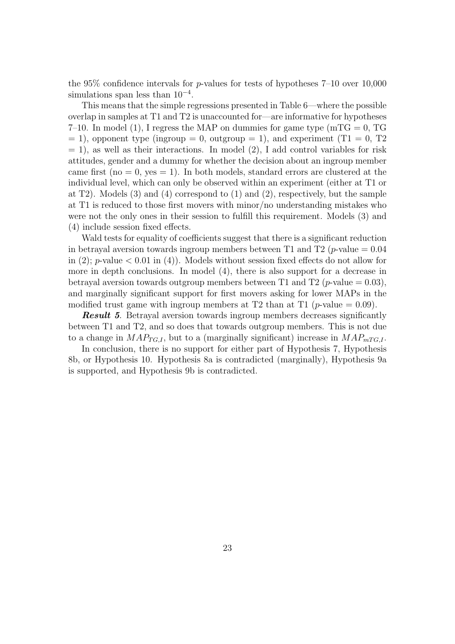the 95% confidence intervals for  $p$ -values for tests of hypotheses 7–10 over 10,000 simulations span less than  $10^{-4}$ .

This means that the simple regressions presented in Table [6—](#page-26-0)where the possible overlap in samples at T1 and T2 is unaccounted for—are informative for hypotheses 7–10. In model (1), I regress the MAP on dummies for game type  $(mTG = 0, TG)$  $= 1$ ), opponent type (ingroup  $= 0$ , outgroup  $= 1$ ), and experiment (T1  $= 0$ , T2  $= 1$ , as well as their interactions. In model  $(2)$ , I add control variables for risk attitudes, gender and a dummy for whether the decision about an ingroup member came first (no  $= 0$ , yes  $= 1$ ). In both models, standard errors are clustered at the individual level, which can only be observed within an experiment (either at T1 or at T2). Models (3) and (4) correspond to (1) and (2), respectively, but the sample at T1 is reduced to those first movers with minor/no understanding mistakes who were not the only ones in their session to fulfill this requirement. Models (3) and (4) include session fixed effects.

Wald tests for equality of coefficients suggest that there is a significant reduction in betrayal aversion towards ingroup members between T1 and T2 (*p*-value  $= 0.04$ in (2); *p*-value  $\lt$  0.01 in (4)). Models without session fixed effects do not allow for more in depth conclusions. In model (4), there is also support for a decrease in betrayal aversion towards outgroup members between T1 and T2 (*p*-value = 0.03), and marginally significant support for first movers asking for lower MAPs in the modified trust game with ingroup members at T2 than at T1 (*p*-value  $= 0.09$ ).

**Result 5.** Betrayal aversion towards ingroup members decreases significantly between T1 and T2, and so does that towards outgroup members. This is not due to a change in  $MAP_{TG,I}$ , but to a (marginally significant) increase in  $MAP_{mTG,I}$ .

In conclusion, there is no support for either part of Hypothesis 7, Hypothesis 8b, or Hypothesis 10. Hypothesis 8a is contradicted (marginally), Hypothesis 9a is supported, and Hypothesis 9b is contradicted.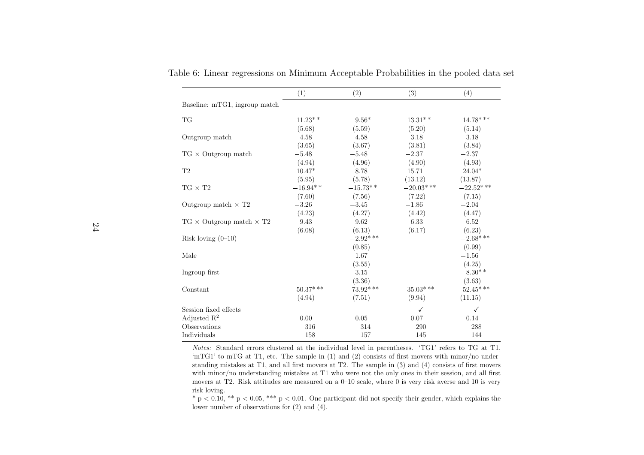|                                        | (1)         | (2)         | (3)          | (4)         |
|----------------------------------------|-------------|-------------|--------------|-------------|
| Baseline: mTG1, ingroup match          |             |             |              |             |
| <b>TG</b>                              | $11.23**$   | $9.56*$     | $13.31**$    | $14.78$ *** |
|                                        | (5.68)      | (5.59)      | (5.20)       | (5.14)      |
| Outgroup match                         | 4.58        | 4.58        | 3.18         | 3.18        |
|                                        | (3.65)      | (3.67)      | (3.81)       | (3.84)      |
| $TG \times$ Outgroup match             | $-5.48$     | $-5.48$     | $-2.37$      | $-2.37$     |
|                                        | (4.94)      | (4.96)      | (4.90)       | (4.93)      |
| T <sub>2</sub>                         | $10.47*$    | 8.78        | 15.71        | $24.04*$    |
|                                        | (5.95)      | (5.78)      | (13.12)      | (13.87)     |
| $TG \times T2$                         | $-16.94**$  | $-15.73**$  | $-20.03$ *** | $-22.52***$ |
|                                        | (7.60)      | (7.56)      | (7.22)       | (7.15)      |
| Outgroup match $\times$ T <sub>2</sub> | $-3.26$     | $-3.45$     | $-1.86$      | $-2.04$     |
|                                        | (4.23)      | (4.27)      | (4.42)       | (4.47)      |
| $TG \times$ Outgroup match $\times$ T2 | 9.43        | 9.62        | 6.33         | 6.52        |
|                                        | (6.08)      | (6.13)      | (6.17)       | (6.23)      |
| Risk loving $(0-10)$                   |             | $-2.92$ *** |              | $-2.68$ *** |
|                                        |             | (0.85)      |              | (0.99)      |
| Male                                   |             | 1.67        |              | $-1.56$     |
|                                        |             | (3.55)      |              | (4.25)      |
| Ingroup first                          |             | $-3.15$     |              | $-8.30**$   |
|                                        |             | (3.36)      |              | (3.63)      |
| Constant                               | $50.37$ *** | 73.92***    | $35.03$ ***  | $52.45***$  |
|                                        | (4.94)      | (7.51)      | (9.94)       | (11.15)     |
| Session fixed effects                  |             |             | $\checkmark$ | √           |
| Adjusted $\mathbb{R}^2$                | 0.00        | 0.05        | 0.07         | 0.14        |
| Observations                           | 316         | 314         | 290          | 288         |
| Individuals                            | 158         | 157         | 145          | 144         |

<span id="page-26-0"></span>Table 6: Linear regressions on Minimum Acceptable Probabilities in the pooled data set

Notes: Standard errors clustered at the individual level in parentheses. 'TG1' refers to TG at T1, 'mTG1' to mTG at T1, etc. The sample in (1) and (2) consists of first movers with minor/no understanding mistakes at T1, and all first movers at T2. The sample in (3) and (4) consists of first moverswith minor/no understanding mistakes at T1 who were not the only ones in their session, and all first movers at T2. Risk attitudes are measured on <sup>a</sup> 0–10 scale, where 0 is very risk averse and 10 is veryrisk loving.

 $* p < 0.10$ ,  $** p < 0.05$ ,  $*** p < 0.01$ . One participant did not specify their gender, which explains the lower number of observations for (2) and (4).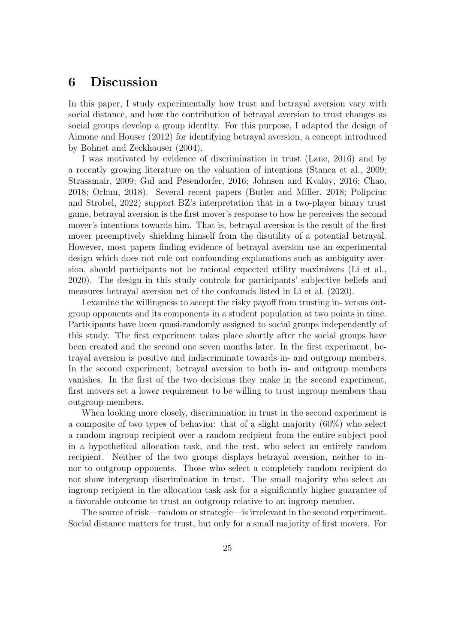## <span id="page-27-0"></span>6 Discussion

In this paper, I study experimentally how trust and betrayal aversion vary with social distance, and how the contribution of betrayal aversion to trust changes as social groups develop a group identity. For this purpose, I adapted the design of [Aimone and Houser](#page-29-6) [\(2012\)](#page-29-6) for identifying betrayal aversion, a concept introduced by [Bohnet and Zeckhauser](#page-30-3) [\(2004\)](#page-30-3).

I was motivated by evidence of discrimination in trust [\(Lane, 2016\)](#page-32-9) and by a recently growing literature on the valuation of intentions [\(Stanca et al., 2009;](#page-33-1) [Strassmair, 2009;](#page-33-2) [Gul and Pesendorfer, 2016;](#page-31-13) [Johnsen and Kvaløy, 2016;](#page-32-5) [Chao,](#page-30-13) [2018;](#page-30-13) [Orhun, 2018\)](#page-32-13). Several recent papers [\(Butler and Miller, 2018;](#page-30-4) [Polipciuc](#page-32-4) [and Strobel, 2022\)](#page-32-4) support BZ's interpretation that in a two-player binary trust game, betrayal aversion is the first mover's response to how he perceives the second mover's intentions towards him. That is, betrayal aversion is the result of the first mover preemptively shielding himself from the disutility of a potential betrayal. However, most papers finding evidence of betrayal aversion use an experimental design which does not rule out confounding explanations such as ambiguity aversion, should participants not be rational expected utility maximizers [\(Li et al.,](#page-32-10) [2020\)](#page-32-10). The design in this study controls for participants' subjective beliefs and measures betrayal aversion net of the confounds listed in [Li et al.](#page-32-10) [\(2020\)](#page-32-10).

I examine the willingness to accept the risky payoff from trusting in- versus outgroup opponents and its components in a student population at two points in time. Participants have been quasi-randomly assigned to social groups independently of this study. The first experiment takes place shortly after the social groups have been created and the second one seven months later. In the first experiment, betrayal aversion is positive and indiscriminate towards in- and outgroup members. In the second experiment, betrayal aversion to both in- and outgroup members vanishes. In the first of the two decisions they make in the second experiment, first movers set a lower requirement to be willing to trust ingroup members than outgroup members.

When looking more closely, discrimination in trust in the second experiment is a composite of two types of behavior: that of a slight majority (60%) who select a random ingroup recipient over a random recipient from the entire subject pool in a hypothetical allocation task, and the rest, who select an entirely random recipient. Neither of the two groups displays betrayal aversion, neither to innor to outgroup opponents. Those who select a completely random recipient do not show intergroup discrimination in trust. The small majority who select an ingroup recipient in the allocation task ask for a significantly higher guarantee of a favorable outcome to trust an outgroup relative to an ingroup member.

The source of risk—random or strategic—is irrelevant in the second experiment. Social distance matters for trust, but only for a small majority of first movers. For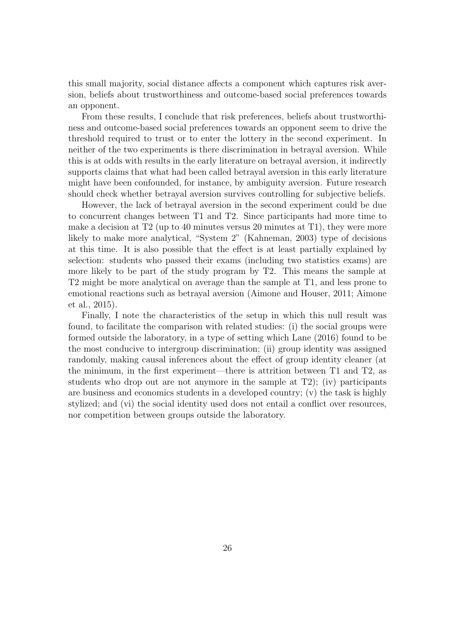this small majority, social distance affects a component which captures risk aversion, beliefs about trustworthiness and outcome-based social preferences towards an opponent.

From these results, I conclude that risk preferences, beliefs about trustworthiness and outcome-based social preferences towards an opponent seem to drive the threshold required to trust or to enter the lottery in the second experiment. In neither of the two experiments is there discrimination in betrayal aversion. While this is at odds with results in the early literature on betrayal aversion, it indirectly supports claims that what had been called betrayal aversion in this early literature might have been confounded, for instance, by ambiguity aversion. Future research should check whether betrayal aversion survives controlling for subjective beliefs.

However, the lack of betrayal aversion in the second experiment could be due to concurrent changes between T1 and T2. Since participants had more time to make a decision at T2 (up to 40 minutes versus 20 minutes at T1), they were more likely to make more analytical, "System 2" [\(Kahneman, 2003\)](#page-32-14) type of decisions at this time. It is also possible that the effect is at least partially explained by selection: students who passed their exams (including two statistics exams) are more likely to be part of the study program by T2. This means the sample at T2 might be more analytical on average than the sample at T1, and less prone to emotional reactions such as betrayal aversion [\(Aimone and Houser, 2011;](#page-29-12) [Aimone](#page-29-2) [et al., 2015\)](#page-29-2).

Finally, I note the characteristics of the setup in which this null result was found, to facilitate the comparison with related studies: (i) the social groups were formed outside the laboratory, in a type of setting which [Lane](#page-32-9) [\(2016\)](#page-32-9) found to be the most conducive to intergroup discrimination; (ii) group identity was assigned randomly, making causal inferences about the effect of group identity cleaner (at the minimum, in the first experiment—there is attrition between T1 and T2, as students who drop out are not anymore in the sample at T2); (iv) participants are business and economics students in a developed country; (v) the task is highly stylized; and (vi) the social identity used does not entail a conflict over resources, nor competition between groups outside the laboratory.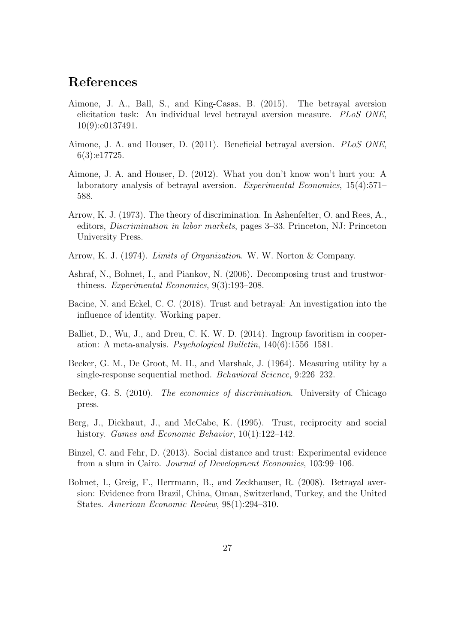## References

- <span id="page-29-2"></span>Aimone, J. A., Ball, S., and King-Casas, B. (2015). The betrayal aversion elicitation task: An individual level betrayal aversion measure. PLoS ONE, 10(9):e0137491.
- <span id="page-29-12"></span>Aimone, J. A. and Houser, D. (2011). Beneficial betrayal aversion. PLoS ONE, 6(3):e17725.
- <span id="page-29-6"></span>Aimone, J. A. and Houser, D. (2012). What you don't know won't hurt you: A laboratory analysis of betrayal aversion. Experimental Economics, 15(4):571– 588.
- <span id="page-29-7"></span>Arrow, K. J. (1973). The theory of discrimination. In Ashenfelter, O. and Rees, A., editors, Discrimination in labor markets, pages 3–33. Princeton, NJ: Princeton University Press.
- <span id="page-29-0"></span>Arrow, K. J. (1974). Limits of Organization. W. W. Norton & Company.
- <span id="page-29-4"></span>Ashraf, N., Bohnet, I., and Piankov, N. (2006). Decomposing trust and trustworthiness. Experimental Economics, 9(3):193–208.
- <span id="page-29-3"></span>Bacine, N. and Eckel, C. C. (2018). Trust and betrayal: An investigation into the influence of identity. Working paper.
- <span id="page-29-5"></span>Balliet, D., Wu, J., and Dreu, C. K. W. D. (2014). Ingroup favoritism in cooperation: A meta-analysis. Psychological Bulletin, 140(6):1556–1581.
- <span id="page-29-10"></span>Becker, G. M., De Groot, M. H., and Marshak, J. (1964). Measuring utility by a single-response sequential method. Behavioral Science, 9:226–232.
- <span id="page-29-8"></span>Becker, G. S. (2010). The economics of discrimination. University of Chicago press.
- <span id="page-29-9"></span>Berg, J., Dickhaut, J., and McCabe, K. (1995). Trust, reciprocity and social history. *Games and Economic Behavior*, 10(1):122–142.
- <span id="page-29-1"></span>Binzel, C. and Fehr, D. (2013). Social distance and trust: Experimental evidence from a slum in Cairo. Journal of Development Economics, 103:99–106.
- <span id="page-29-11"></span>Bohnet, I., Greig, F., Herrmann, B., and Zeckhauser, R. (2008). Betrayal aversion: Evidence from Brazil, China, Oman, Switzerland, Turkey, and the United States. American Economic Review, 98(1):294–310.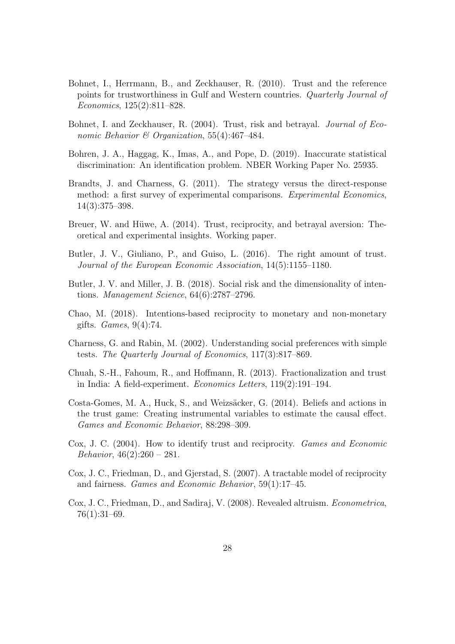- <span id="page-30-11"></span>Bohnet, I., Herrmann, B., and Zeckhauser, R. (2010). Trust and the reference points for trustworthiness in Gulf and Western countries. Quarterly Journal of Economics, 125(2):811–828.
- <span id="page-30-3"></span>Bohnet, I. and Zeckhauser, R. (2004). Trust, risk and betrayal. Journal of Economic Behavior & Organization, 55(4):467-484.
- <span id="page-30-7"></span>Bohren, J. A., Haggag, K., Imas, A., and Pope, D. (2019). Inaccurate statistical discrimination: An identification problem. NBER Working Paper No. 25935.
- <span id="page-30-1"></span>Brandts, J. and Charness, G. (2011). The strategy versus the direct-response method: a first survey of experimental comparisons. Experimental Economics, 14(3):375–398.
- <span id="page-30-12"></span>Breuer, W. and Hüwe, A. (2014). Trust, reciprocity, and betrayal aversion: Theoretical and experimental insights. Working paper.
- <span id="page-30-0"></span>Butler, J. V., Giuliano, P., and Guiso, L. (2016). The right amount of trust. Journal of the European Economic Association, 14(5):1155–1180.
- <span id="page-30-4"></span>Butler, J. V. and Miller, J. B. (2018). Social risk and the dimensionality of intentions. Management Science, 64(6):2787–2796.
- <span id="page-30-13"></span>Chao, M. (2018). Intentions-based reciprocity to monetary and non-monetary gifts. Games, 9(4):74.
- <span id="page-30-10"></span>Charness, G. and Rabin, M. (2002). Understanding social preferences with simple tests. The Quarterly Journal of Economics, 117(3):817–869.
- <span id="page-30-2"></span>Chuah, S.-H., Fahoum, R., and Hoffmann, R. (2013). Fractionalization and trust in India: A field-experiment. Economics Letters, 119(2):191–194.
- <span id="page-30-6"></span>Costa-Gomes, M. A., Huck, S., and Weizsäcker, G. (2014). Beliefs and actions in the trust game: Creating instrumental variables to estimate the causal effect. Games and Economic Behavior, 88:298–309.
- <span id="page-30-5"></span>Cox, J. C. (2004). How to identify trust and reciprocity. Games and Economic Behavior,  $46(2):260 - 281$ .
- <span id="page-30-8"></span>Cox, J. C., Friedman, D., and Gjerstad, S. (2007). A tractable model of reciprocity and fairness. Games and Economic Behavior, 59(1):17–45.
- <span id="page-30-9"></span>Cox, J. C., Friedman, D., and Sadiraj, V. (2008). Revealed altruism. Econometrica, 76(1):31–69.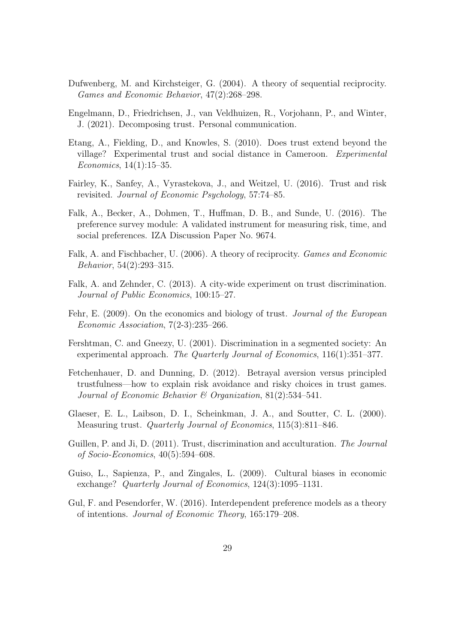- <span id="page-31-8"></span>Dufwenberg, M. and Kirchsteiger, G. (2004). A theory of sequential reciprocity. Games and Economic Behavior, 47(2):268–298.
- <span id="page-31-11"></span>Engelmann, D., Friedrichsen, J., van Veldhuizen, R., Vorjohann, P., and Winter, J. (2021). Decomposing trust. Personal communication.
- <span id="page-31-2"></span>Etang, A., Fielding, D., and Knowles, S. (2010). Does trust extend beyond the village? Experimental trust and social distance in Cameroon. Experimental Economics, 14(1):15–35.
- <span id="page-31-5"></span>Fairley, K., Sanfey, A., Vyrastekova, J., and Weitzel, U. (2016). Trust and risk revisited. Journal of Economic Psychology, 57:74–85.
- <span id="page-31-12"></span>Falk, A., Becker, A., Dohmen, T., Huffman, D. B., and Sunde, U. (2016). The preference survey module: A validated instrument for measuring risk, time, and social preferences. IZA Discussion Paper No. 9674.
- <span id="page-31-9"></span>Falk, A. and Fischbacher, U. (2006). A theory of reciprocity. Games and Economic Behavior, 54(2):293–315.
- <span id="page-31-4"></span>Falk, A. and Zehnder, C. (2013). A city-wide experiment on trust discrimination. Journal of Public Economics, 100:15–27.
- <span id="page-31-6"></span>Fehr, E. (2009). On the economics and biology of trust. *Journal of the European* Economic Association, 7(2-3):235–266.
- <span id="page-31-7"></span>Fershtman, C. and Gneezy, U. (2001). Discrimination in a segmented society: An experimental approach. The Quarterly Journal of Economics, 116(1):351-377.
- <span id="page-31-10"></span>Fetchenhauer, D. and Dunning, D. (2012). Betrayal aversion versus principled trustfulness—how to explain risk avoidance and risky choices in trust games. Journal of Economic Behavior & Organization, 81(2):534–541.
- <span id="page-31-1"></span>Glaeser, E. L., Laibson, D. I., Scheinkman, J. A., and Soutter, C. L. (2000). Measuring trust. Quarterly Journal of Economics, 115(3):811–846.
- <span id="page-31-3"></span>Guillen, P. and Ji, D. (2011). Trust, discrimination and acculturation. The Journal of Socio-Economics, 40(5):594–608.
- <span id="page-31-0"></span>Guiso, L., Sapienza, P., and Zingales, L. (2009). Cultural biases in economic exchange? Quarterly Journal of Economics, 124(3):1095–1131.
- <span id="page-31-13"></span>Gul, F. and Pesendorfer, W. (2016). Interdependent preference models as a theory of intentions. Journal of Economic Theory, 165:179–208.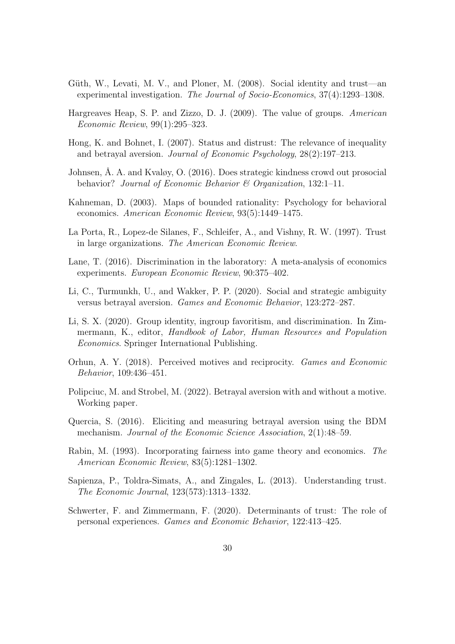- <span id="page-32-7"></span>Güth, W., Levati, M. V., and Ploner, M.  $(2008)$ . Social identity and trust—an experimental investigation. The Journal of Socio-Economics, 37(4):1293–1308.
- <span id="page-32-2"></span>Hargreaves Heap, S. P. and Zizzo, D. J. (2009). The value of groups. American Economic Review, 99(1):295–323.
- <span id="page-32-12"></span>Hong, K. and Bohnet, I. (2007). Status and distrust: The relevance of inequality and betrayal aversion. Journal of Economic Psychology, 28(2):197–213.
- <span id="page-32-5"></span>Johnsen,  $\AA$ . A. and Kvaløy, O. (2016). Does strategic kindness crowd out prosocial behavior? Journal of Economic Behavior  $\mathcal B$  Organization, 132:1-11.
- <span id="page-32-14"></span>Kahneman, D. (2003). Maps of bounded rationality: Psychology for behavioral economics. American Economic Review, 93(5):1449–1475.
- <span id="page-32-1"></span>La Porta, R., Lopez-de Silanes, F., Schleifer, A., and Vishny, R. W. (1997). Trust in large organizations. The American Economic Review.
- <span id="page-32-9"></span>Lane, T. (2016). Discrimination in the laboratory: A meta-analysis of economics experiments. European Economic Review, 90:375–402.
- <span id="page-32-10"></span>Li, C., Turmunkh, U., and Wakker, P. P. (2020). Social and strategic ambiguity versus betrayal aversion. Games and Economic Behavior, 123:272–287.
- <span id="page-32-8"></span>Li, S. X. (2020). Group identity, ingroup favoritism, and discrimination. In Zimmermann, K., editor, Handbook of Labor, Human Resources and Population Economics. Springer International Publishing.
- <span id="page-32-13"></span>Orhun, A. Y. (2018). Perceived motives and reciprocity. Games and Economic Behavior, 109:436–451.
- <span id="page-32-4"></span>Polipciuc, M. and Strobel, M. (2022). Betrayal aversion with and without a motive. Working paper.
- <span id="page-32-3"></span>Quercia, S. (2016). Eliciting and measuring betrayal aversion using the BDM mechanism. Journal of the Economic Science Association, 2(1):48–59.
- <span id="page-32-11"></span>Rabin, M. (1993). Incorporating fairness into game theory and economics. The American Economic Review, 83(5):1281–1302.
- <span id="page-32-6"></span>Sapienza, P., Toldra-Simats, A., and Zingales, L. (2013). Understanding trust. The Economic Journal, 123(573):1313–1332.
- <span id="page-32-0"></span>Schwerter, F. and Zimmermann, F. (2020). Determinants of trust: The role of personal experiences. Games and Economic Behavior, 122:413–425.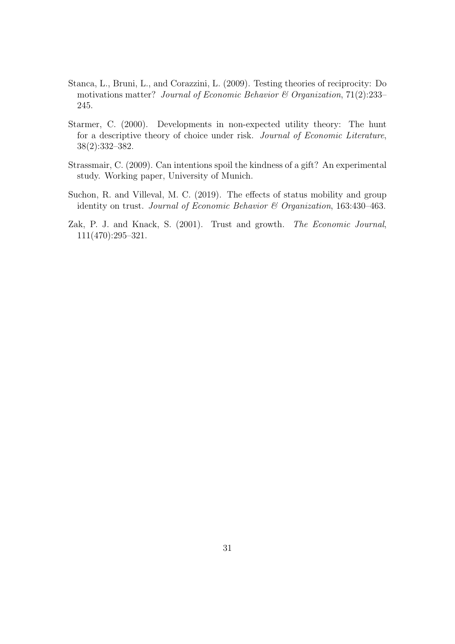- <span id="page-33-1"></span>Stanca, L., Bruni, L., and Corazzini, L. (2009). Testing theories of reciprocity: Do motivations matter? Journal of Economic Behavior  $\mathcal C$  Organization, 71(2):233– 245.
- <span id="page-33-3"></span>Starmer, C. (2000). Developments in non-expected utility theory: The hunt for a descriptive theory of choice under risk. Journal of Economic Literature, 38(2):332–382.
- <span id="page-33-2"></span>Strassmair, C. (2009). Can intentions spoil the kindness of a gift? An experimental study. Working paper, University of Munich.
- <span id="page-33-4"></span>Suchon, R. and Villeval, M. C. (2019). The effects of status mobility and group identity on trust. Journal of Economic Behavior & Organization, 163:430–463.
- <span id="page-33-0"></span>Zak, P. J. and Knack, S. (2001). Trust and growth. The Economic Journal, 111(470):295–321.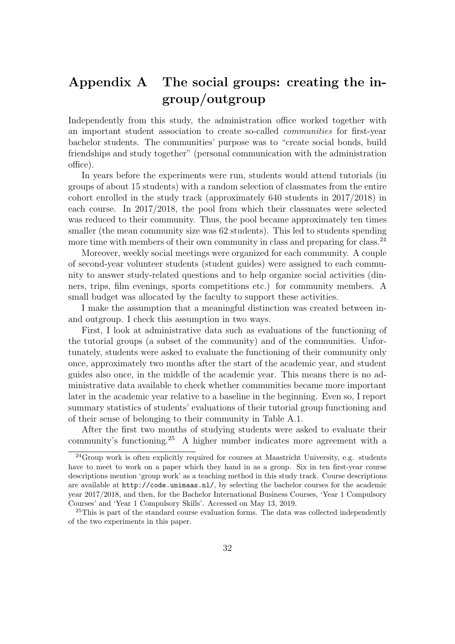## <span id="page-34-0"></span>Appendix A The social groups: creating the ingroup/outgroup

Independently from this study, the administration office worked together with an important student association to create so-called communities for first-year bachelor students. The communities' purpose was to "create social bonds, build friendships and study together" (personal communication with the administration office).

In years before the experiments were run, students would attend tutorials (in groups of about 15 students) with a random selection of classmates from the entire cohort enrolled in the study track (approximately 640 students in 2017/2018) in each course. In 2017/2018, the pool from which their classmates were selected was reduced to their community. Thus, the pool became approximately ten times smaller (the mean community size was 62 students). This led to students spending more time with members of their own community in class and preparing for class.<sup>[24](#page-34-1)</sup>

Moreover, weekly social meetings were organized for each community. A couple of second-year volunteer students (student guides) were assigned to each community to answer study-related questions and to help organize social activities (dinners, trips, film evenings, sports competitions etc.) for community members. A small budget was allocated by the faculty to support these activities.

I make the assumption that a meaningful distinction was created between inand outgroup. I check this assumption in two ways.

First, I look at administrative data such as evaluations of the functioning of the tutorial groups (a subset of the community) and of the communities. Unfortunately, students were asked to evaluate the functioning of their community only once, approximately two months after the start of the academic year, and student guides also once, in the middle of the academic year. This means there is no administrative data available to check whether communities became more important later in the academic year relative to a baseline in the beginning. Even so, I report summary statistics of students' evaluations of their tutorial group functioning and of their sense of belonging to their community in Table [A.1.](#page-35-0)

After the first two months of studying students were asked to evaluate their community's functioning.[25](#page-34-2) A higher number indicates more agreement with a

<span id="page-34-1"></span> $^{24}$ Group work is often explicitly required for courses at Maastricht University, e.g. students have to meet to work on a paper which they hand in as a group. Six in ten first-year course descriptions mention 'group work' as a teaching method in this study track. Course descriptions are available at <http://code.unimaas.nl/>, by selecting the bachelor courses for the academic year 2017/2018, and then, for the Bachelor International Business Courses, 'Year 1 Compulsory Courses' and 'Year 1 Compulsory Skills'. Accessed on May 13, 2019.

<span id="page-34-2"></span><sup>&</sup>lt;sup>25</sup>This is part of the standard course evaluation forms. The data was collected independently of the two experiments in this paper.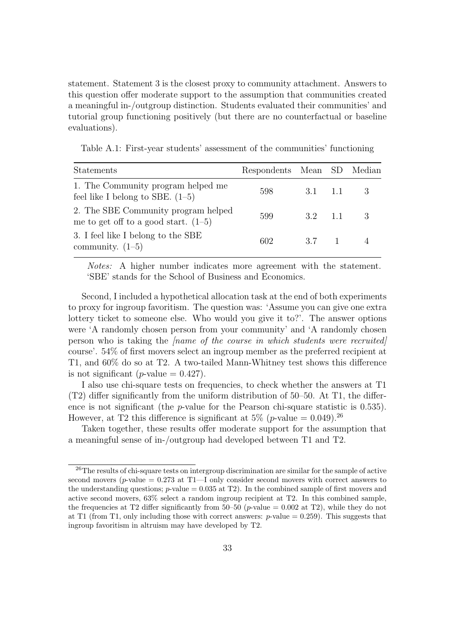statement. Statement 3 is the closest proxy to community attachment. Answers to this question offer moderate support to the assumption that communities created a meaningful in-/outgroup distinction. Students evaluated their communities' and tutorial group functioning positively (but there are no counterfactual or baseline evaluations).

<span id="page-35-0"></span>Table A.1: First-year students' assessment of the communities' functioning

| <b>Statements</b>                                                             | Respondents Mean SD Median |                         |  |
|-------------------------------------------------------------------------------|----------------------------|-------------------------|--|
| 1. The Community program helped me<br>feel like I belong to SBE. $(1-5)$      | 598                        | $3.1 \quad 1.1 \quad 3$ |  |
| 2. The SBE Community program helped<br>me to get off to a good start. $(1-5)$ | 599                        | $3.2 \quad 1.1 \quad 3$ |  |
| 3. I feel like I belong to the SBE<br>community. $(1-5)$                      | 602.                       | 3.7 1 4                 |  |

Notes: A higher number indicates more agreement with the statement. 'SBE' stands for the School of Business and Economics.

Second, I included a hypothetical allocation task at the end of both experiments to proxy for ingroup favoritism. The question was: 'Assume you can give one extra lottery ticket to someone else. Who would you give it to?'. The answer options were 'A randomly chosen person from your community' and 'A randomly chosen person who is taking the [name of the course in which students were recruited] course'. 54% of first movers select an ingroup member as the preferred recipient at T1, and 60% do so at T2. A two-tailed Mann-Whitney test shows this difference is not significant (*p*-value  $= 0.427$ ).

I also use chi-square tests on frequencies, to check whether the answers at T1 (T2) differ significantly from the uniform distribution of 50–50. At T1, the difference is not significant (the  $p$ -value for the Pearson chi-square statistic is 0.535). However, at T2 this difference is significant at  $5\%$  (*p*-value = 0.049).<sup>[26](#page-35-1)</sup>

Taken together, these results offer moderate support for the assumption that a meaningful sense of in-/outgroup had developed between T1 and T2.

<span id="page-35-1"></span><sup>&</sup>lt;sup>26</sup>The results of chi-square tests on intergroup discrimination are similar for the sample of active second movers (p-value  $= 0.273$  at T1-I only consider second movers with correct answers to the understanding questions;  $p$ -value = 0.035 at T2). In the combined sample of first movers and active second movers, 63% select a random ingroup recipient at T2. In this combined sample, the frequencies at T2 differ significantly from 50–50 (*p*-value = 0.002 at T2), while they do not at T1 (from T1, only including those with correct answers:  $p$ -value = 0.259). This suggests that ingroup favoritism in altruism may have developed by T2.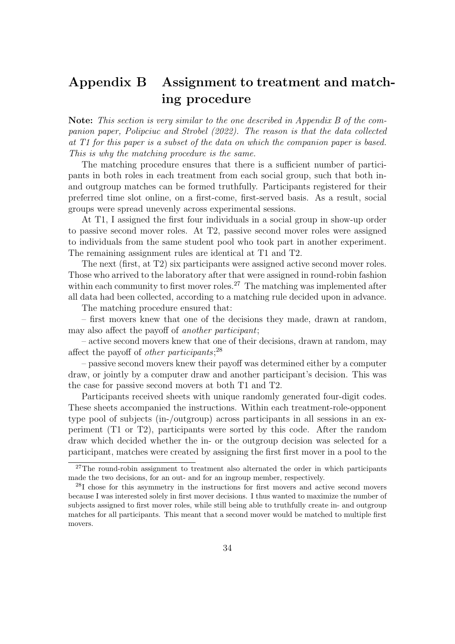## <span id="page-36-0"></span>Appendix B Assignment to treatment and matching procedure

Note: This section is very similar to the one described in Appendix B of the companion paper, [Polipciuc and Strobel](#page-32-4) [\(2022\)](#page-32-4). The reason is that the data collected at T1 for this paper is a subset of the data on which the companion paper is based. This is why the matching procedure is the same.

The matching procedure ensures that there is a sufficient number of participants in both roles in each treatment from each social group, such that both inand outgroup matches can be formed truthfully. Participants registered for their preferred time slot online, on a first-come, first-served basis. As a result, social groups were spread unevenly across experimental sessions.

At T1, I assigned the first four individuals in a social group in show-up order to passive second mover roles. At T2, passive second mover roles were assigned to individuals from the same student pool who took part in another experiment. The remaining assignment rules are identical at T1 and T2.

The next (first, at T2) six participants were assigned active second mover roles. Those who arrived to the laboratory after that were assigned in round-robin fashion within each community to first mover roles.<sup>[27](#page-36-1)</sup> The matching was implemented after all data had been collected, according to a matching rule decided upon in advance.

The matching procedure ensured that:

– first movers knew that one of the decisions they made, drawn at random, may also affect the payoff of another participant;

– active second movers knew that one of their decisions, drawn at random, may affect the payoff of *other participants*;<sup>[28](#page-36-2)</sup>

– passive second movers knew their payoff was determined either by a computer draw, or jointly by a computer draw and another participant's decision. This was the case for passive second movers at both T1 and T2.

Participants received sheets with unique randomly generated four-digit codes. These sheets accompanied the instructions. Within each treatment-role-opponent type pool of subjects (in-/outgroup) across participants in all sessions in an experiment (T1 or T2), participants were sorted by this code. After the random draw which decided whether the in- or the outgroup decision was selected for a participant, matches were created by assigning the first first mover in a pool to the

<span id="page-36-1"></span> $27$ The round-robin assignment to treatment also alternated the order in which participants made the two decisions, for an out- and for an ingroup member, respectively.

<span id="page-36-2"></span><sup>28</sup>I chose for this asymmetry in the instructions for first movers and active second movers because I was interested solely in first mover decisions. I thus wanted to maximize the number of subjects assigned to first mover roles, while still being able to truthfully create in- and outgroup matches for all participants. This meant that a second mover would be matched to multiple first movers.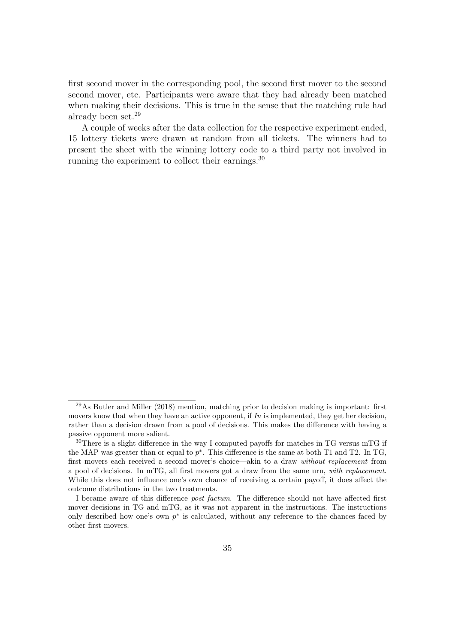first second mover in the corresponding pool, the second first mover to the second second mover, etc. Participants were aware that they had already been matched when making their decisions. This is true in the sense that the matching rule had already been set.[29](#page-37-0)

A couple of weeks after the data collection for the respective experiment ended, 15 lottery tickets were drawn at random from all tickets. The winners had to present the sheet with the winning lottery code to a third party not involved in running the experiment to collect their earnings.[30](#page-37-1)

<span id="page-37-0"></span> $^{29}$ As [Butler and Miller](#page-30-4) [\(2018\)](#page-30-4) mention, matching prior to decision making is important: first movers know that when they have an active opponent, if  $In$  is implemented, they get her decision, rather than a decision drawn from a pool of decisions. This makes the difference with having a passive opponent more salient.

<span id="page-37-1"></span> $30$ There is a slight difference in the way I computed payoffs for matches in TG versus mTG if the MAP was greater than or equal to  $p^*$ . This difference is the same at both T1 and T2. In TG, first movers each received a second mover's choice—akin to a draw without replacement from a pool of decisions. In mTG, all first movers got a draw from the same urn, with replacement. While this does not influence one's own chance of receiving a certain payoff, it does affect the outcome distributions in the two treatments.

I became aware of this difference post factum. The difference should not have affected first mover decisions in TG and mTG, as it was not apparent in the instructions. The instructions only described how one's own  $p^*$  is calculated, without any reference to the chances faced by other first movers.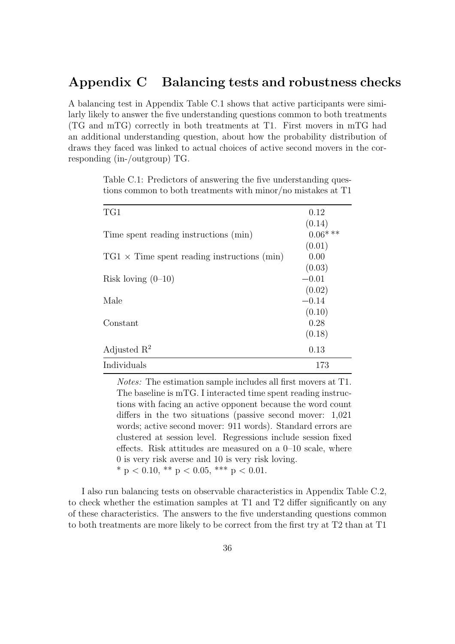## <span id="page-38-0"></span>Appendix C Balancing tests and robustness checks

A balancing test in Appendix Table [C.1](#page-38-1) shows that active participants were similarly likely to answer the five understanding questions common to both treatments (TG and mTG) correctly in both treatments at T1. First movers in mTG had an additional understanding question, about how the probability distribution of draws they faced was linked to actual choices of active second movers in the corresponding (in-/outgroup) TG.

<span id="page-38-1"></span>

| Table C.1: Predictors of answering the five understanding ques-<br>tions common to both treatments with minor/no mistakes at T1 |            |
|---------------------------------------------------------------------------------------------------------------------------------|------------|
| TG1                                                                                                                             | 0.12       |
|                                                                                                                                 | (0.14)     |
| Time spent reading instructions (min)                                                                                           | $0.06$ *** |
|                                                                                                                                 | (0.01)     |
| $TGI \times Time$ spent reading instructions (min)                                                                              | 0.00       |
|                                                                                                                                 | (0.03)     |
| Risk loving $(0-10)$                                                                                                            | $-0.01$    |
|                                                                                                                                 | (0.02)     |
| Male                                                                                                                            | $-0.14$    |
|                                                                                                                                 | (0.10)     |
| Constant                                                                                                                        | 0.28       |
|                                                                                                                                 | (0.18)     |
| Adjusted $\mathbb{R}^2$                                                                                                         | 0.13       |
| Individuals                                                                                                                     | 173        |

Notes: The estimation sample includes all first movers at T1. The baseline is mTG. I interacted time spent reading instructions with facing an active opponent because the word count differs in the two situations (passive second mover: 1,021 words; active second mover: 911 words). Standard errors are clustered at session level. Regressions include session fixed effects. Risk attitudes are measured on a 0–10 scale, where 0 is very risk averse and 10 is very risk loving. \* p < 0.10, \*\* p < 0.05, \*\*\* p < 0.01.

I also run balancing tests on observable characteristics in Appendix Table [C.2,](#page-40-0) to check whether the estimation samples at T1 and T2 differ significantly on any of these characteristics. The answers to the five understanding questions common to both treatments are more likely to be correct from the first try at T2 than at T1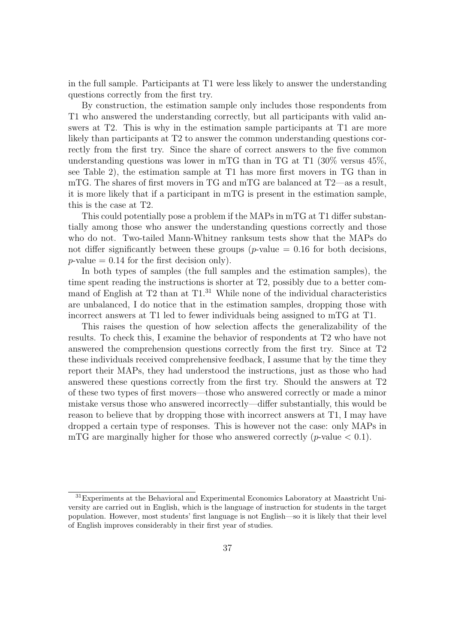in the full sample. Participants at T1 were less likely to answer the understanding questions correctly from the first try.

By construction, the estimation sample only includes those respondents from T1 who answered the understanding correctly, but all participants with valid answers at T2. This is why in the estimation sample participants at T1 are more likely than participants at T2 to answer the common understanding questions correctly from the first try. Since the share of correct answers to the five common understanding questions was lower in mTG than in TG at T1 (30% versus 45%, see Table [2\)](#page-14-1), the estimation sample at T1 has more first movers in TG than in mTG. The shares of first movers in TG and mTG are balanced at T2—as a result, it is more likely that if a participant in mTG is present in the estimation sample, this is the case at T2.

This could potentially pose a problem if the MAPs in mTG at T1 differ substantially among those who answer the understanding questions correctly and those who do not. Two-tailed Mann-Whitney ranksum tests show that the MAPs do not differ significantly between these groups ( $p$ -value = 0.16 for both decisions,  $p$ -value = 0.14 for the first decision only).

In both types of samples (the full samples and the estimation samples), the time spent reading the instructions is shorter at T2, possibly due to a better command of English at  $T2$  than at  $T1<sup>31</sup>$  $T1<sup>31</sup>$  $T1<sup>31</sup>$  While none of the individual characteristics are unbalanced, I do notice that in the estimation samples, dropping those with incorrect answers at T1 led to fewer individuals being assigned to mTG at T1.

This raises the question of how selection affects the generalizability of the results. To check this, I examine the behavior of respondents at T2 who have not answered the comprehension questions correctly from the first try. Since at T2 these individuals received comprehensive feedback, I assume that by the time they report their MAPs, they had understood the instructions, just as those who had answered these questions correctly from the first try. Should the answers at T2 of these two types of first movers—those who answered correctly or made a minor mistake versus those who answered incorrectly—differ substantially, this would be reason to believe that by dropping those with incorrect answers at T1, I may have dropped a certain type of responses. This is however not the case: only MAPs in mTG are marginally higher for those who answered correctly  $(p$ -value  $\lt 0.1$ .

<span id="page-39-0"></span><sup>&</sup>lt;sup>31</sup>Experiments at the Behavioral and Experimental Economics Laboratory at Maastricht University are carried out in English, which is the language of instruction for students in the target population. However, most students' first language is not English—so it is likely that their level of English improves considerably in their first year of studies.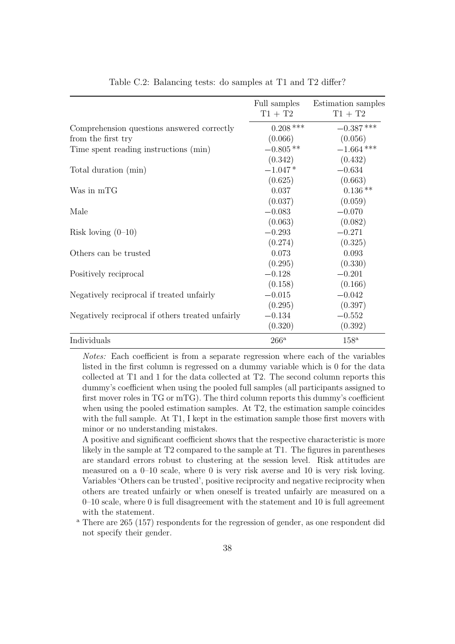| Table C.2: Balancing tests: do samples at T1 and T2 differ? |               |                    |
|-------------------------------------------------------------|---------------|--------------------|
|                                                             |               |                    |
|                                                             | Full samples  | Estimation samples |
|                                                             | $T1 + T2$     | $T1 + T2$          |
| Comprehension questions answered correctly                  | $0.208$ ***   | $-0.387$ ***       |
| from the first try                                          | (0.066)       | (0.056)            |
| Time spent reading instructions (min)                       | $-0.805**$    | $-1.664$ ***       |
|                                                             | (0.342)       | (0.432)            |
| Total duration (min)                                        | $-1.047*$     | $-0.634$           |
|                                                             | (0.625)       | (0.663)            |
| Was in mTG                                                  | 0.037         | $0.136**$          |
|                                                             | (0.037)       | (0.059)            |
| Male                                                        | $-0.083$      | $-0.070$           |
|                                                             | (0.063)       | (0.082)            |
| Risk loving $(0-10)$                                        | $-0.293$      | $-0.271$           |
|                                                             | (0.274)       | (0.325)            |
| Others can be trusted                                       | 0.073         | 0.093              |
|                                                             | (0.295)       | (0.330)            |
| Positively reciprocal                                       | $-0.128$      | $-0.201$           |
|                                                             | (0.158)       | (0.166)            |
| Negatively reciprocal if treated unfairly                   | $-0.015$      | $-0.042$           |
|                                                             | (0.295)       | (0.397)            |
| Negatively reciprocal if others treated unfairly            | $-0.134$      | $-0.552$           |
|                                                             | (0.320)       | (0.392)            |
| Individuals                                                 | $266^{\rm a}$ | $158^{\rm a}$      |

<span id="page-40-0"></span>Table C.2: Balancing tests: do samples at T1 and T2 differ?

Notes: Each coefficient is from a separate regression where each of the variables listed in the first column is regressed on a dummy variable which is 0 for the data collected at T1 and 1 for the data collected at T2. The second column reports this dummy's coefficient when using the pooled full samples (all participants assigned to first mover roles in TG or mTG). The third column reports this dummy's coefficient when using the pooled estimation samples. At T2, the estimation sample coincides with the full sample. At T1, I kept in the estimation sample those first movers with minor or no understanding mistakes.

A positive and significant coefficient shows that the respective characteristic is more likely in the sample at T2 compared to the sample at T1. The figures in parentheses are standard errors robust to clustering at the session level. Risk attitudes are measured on a 0–10 scale, where 0 is very risk averse and 10 is very risk loving. Variables 'Others can be trusted', positive reciprocity and negative reciprocity when others are treated unfairly or when oneself is treated unfairly are measured on a 0–10 scale, where 0 is full disagreement with the statement and 10 is full agreement with the statement.

<sup>a</sup> There are 265 (157) respondents for the regression of gender, as one respondent did not specify their gender.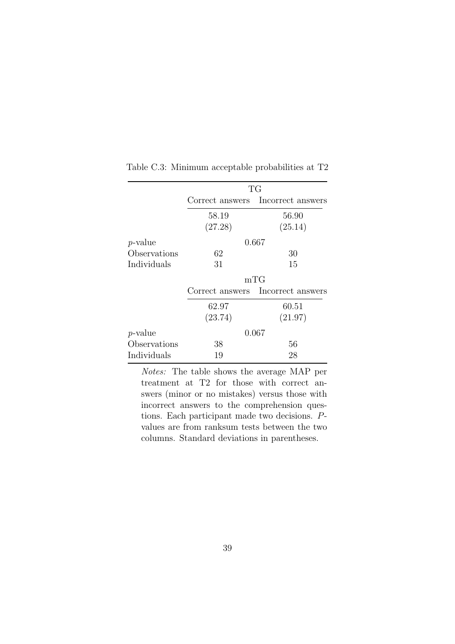|                 | TG      |                                   |  |  |  |
|-----------------|---------|-----------------------------------|--|--|--|
|                 |         | Correct answers Incorrect answers |  |  |  |
|                 | 58.19   | 56.90                             |  |  |  |
|                 | (27.28) | (25.14)                           |  |  |  |
| <i>p</i> -value |         | 0.667                             |  |  |  |
| Observations    | 62      | 30                                |  |  |  |
| Individuals     | 31      | 15                                |  |  |  |
|                 | mTG     |                                   |  |  |  |
|                 |         | Correct answers Incorrect answers |  |  |  |
|                 | 62.97   | 60.51                             |  |  |  |
|                 | (23.74) | (21.97)                           |  |  |  |
| <i>p</i> -value |         | 0.067                             |  |  |  |
| Observations    | 38      | 56                                |  |  |  |
| Individuals     | 19      | 28                                |  |  |  |

Table C.3: Minimum acceptable probabilities at T2

Notes: The table shows the average MAP per treatment at T2 for those with correct answers (minor or no mistakes) versus those with incorrect answers to the comprehension questions. Each participant made two decisions. Pvalues are from ranksum tests between the two columns. Standard deviations in parentheses.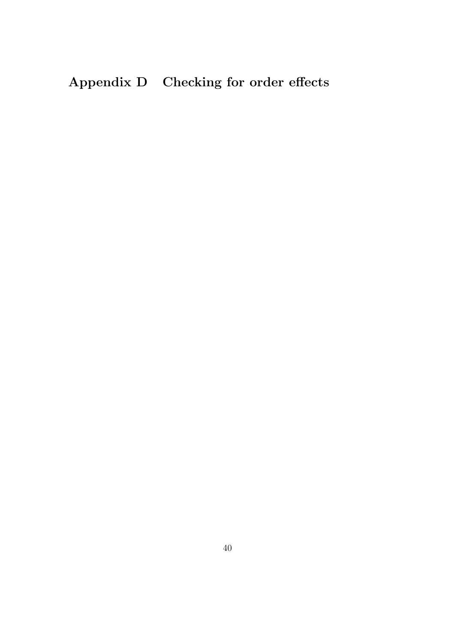# Appendix D Checking for order effects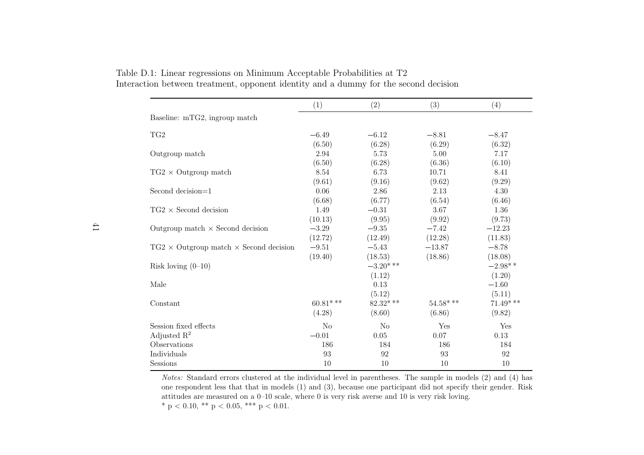|                                                      | (1)            | (2)         | (3)         | (4)         |
|------------------------------------------------------|----------------|-------------|-------------|-------------|
| Baseline: mTG2, ingroup match                        |                |             |             |             |
| TG2                                                  | $-6.49$        | $-6.12$     | $-8.81$     | $-8.47$     |
|                                                      | (6.50)         | (6.28)      | (6.29)      | (6.32)      |
| Outgroup match                                       | 2.94           | 5.73        | 5.00        | 7.17        |
|                                                      | (6.50)         | (6.28)      | (6.36)      | (6.10)      |
| $TG2 \times$ Outgroup match                          | 8.54           | 6.73        | 10.71       | 8.41        |
|                                                      | (9.61)         | (9.16)      | (9.62)      | (9.29)      |
| Second decision=1                                    | 0.06           | 2.86        | 2.13        | 4.30        |
|                                                      | (6.68)         | (6.77)      | (6.54)      | (6.46)      |
| $TG2 \times$ Second decision                         | 1.49           | $-0.31$     | 3.67        | 1.36        |
|                                                      | (10.13)        | (9.95)      | (9.92)      | (9.73)      |
| Outgroup match $\times$ Second decision              | $-3.29$        | $-9.35$     | $-7.42$     | $-12.23$    |
|                                                      | (12.72)        | (12.49)     | (12.28)     | (11.83)     |
| $TG2 \times$ Outgroup match $\times$ Second decision | $-9.51$        | $-5.43$     | $-13.87$    | $-8.78$     |
|                                                      | (19.40)        | (18.53)     | (18.86)     | (18.08)     |
| Risk loving $(0-10)$                                 |                | $-3.20$ *** |             | $-2.98**$   |
|                                                      |                | (1.12)      |             | (1.20)      |
| Male                                                 |                | 0.13        |             | $-1.60$     |
|                                                      |                | (5.12)      |             | (5.11)      |
| Constant                                             | $60.81***$     | $82.32$ *** | $54.58$ *** | $71.49$ *** |
|                                                      | (4.28)         | (8.60)      | (6.86)      | (9.82)      |
| Session fixed effects                                | N <sub>o</sub> | No          | Yes         | Yes         |
| Adjusted $\mathbb{R}^2$                              | $-0.01$        | $0.05\,$    | 0.07        | 0.13        |
| Observations                                         | 186            | 184         | 186         | 184         |
| Individuals                                          | 93             | 92          | 93          | 92          |
| Sessions                                             | 10             | 10          | 10          | 10          |

Table D.1: Linear regressions on Minimum Acceptable Probabilities at T2Interaction between treatment, opponent identity and <sup>a</sup> dummy for the second decision

Notes: Standard errors clustered at the individual level in parentheses. The sample in models (2) and (4) has one respondent less that that in models (1) and (3), because one participant did not specify their gender. Riskattitudes are measured on <sup>a</sup> 0–10 scale, where 0 is very risk averse and 10 is very risk loving. \* p < 0.10, \*\* p < 0.05, \*\*\* p < 0.01.

41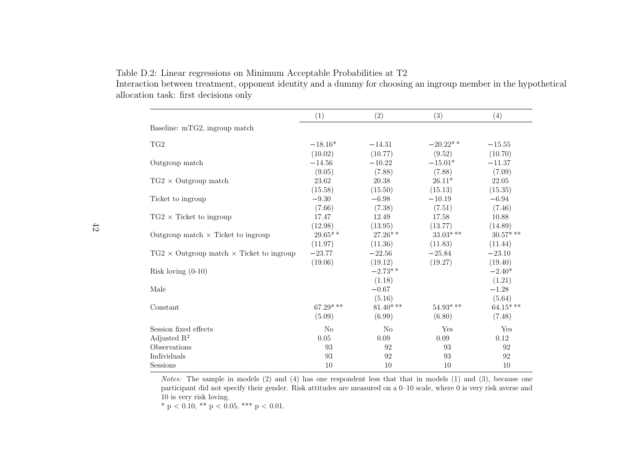$(1)$   $(2)$   $(3)$   $(4)$ Baseline: mTG2, ingroup matchTG2 $-18.16*$  $(10.02)$ =14.31 $(10.02)$   $(10.77)$   $(9.52)$   $(10.70)$  $-20.22$ \* \*  $-15.55$  $(10.70)$  =11.37Outgroup match=14.56 $(9.05)$  $-10.22$  $(7.88)$  $-15.01*$  $(7.88)$  $(7.09)$  $(9.05)$   $(7.88)$   $(7.88)$   $(7.09)$ 22.05 TG2  $\times$  $\times$  Outgroup match  $23.62$   $20.38$   $26.11*$   $22.05$ <br>(15.59)  $(15.35)$   $(15.35)$   $(15.35)$  $(15.58)$   $(15.50)$   $(15.13)$   $(15.35)$  =6.94Ticket to ingroup $-9.30$  $(7.66)$ =6.98 $(7.38)$  $-10.19$  $(7.51)$  $(7.46)$  $(7.66)$   $(7.38)$   $(7.51)$   $(7.46)$ 10.88  $TG2 \times$  Ticket to ingroup  $\begin{array}{ccc} 17.47 & 12.49 & 17.58 & 10.88 \\ (12.98) & (12.95) & (12.77) & (14.89) \end{array}$  $(12.98)$   $(13.95)$   $(13.77)$   $(14.89)$  $30.57***$ Outgroup match  $\times$  Ticket to ingroup 29.65\*  $27.26**$   $33.03***$   $30.57***$   $30.57***$   $30.57***$   $30.57***$   $30.57***$  $(11.97)$   $(11.36)$   $(11.83)$   $(11.44)$  $-23.10$  $TG2 \times$  Outgroup match  $\times$  Ticket to ingroup =23.77 $(19.06)$  $-22.56$  $(19.12)$ =25.84 $(19.06)$   $(19.12)$   $(19.27)$   $(19.40)$  $(19.40)$  $-2.40*$ Risk loving (0-10) $-2.73$ \* \*  $(1.18)$   $(1.21)$  =1.28Male $-0.67$  $(5.16)$  $(5.16)$   $(5.64)$  $64.15***$ Constant 64.15\* \*\* 64.15\* \*\* 654.93\* 664.15\* \*\* 64.15\* \*\* 64.15\* \*\*  $(5.09)$   $(6.99)$   $(6.80)$   $(7.48)$ Session fixed effects No No Yes Yes $0.12$ Adjusted  $\mathbb{R}^2$ Observations 5 93 92 93 92 93 92  $\frac{2}{12}$  0.05 0.09 0.09 0.12 92 92 Individuals 5 93 92 93 93 10  $S$ essions 10 10 10 10 10 10

<span id="page-44-0"></span>Table D.2: Linear regressions on Minimum Acceptable Probabilities at T2

 Interaction between treatment, opponent identity and <sup>a</sup> dummy for choosing an ingroup member in the hypotheticalallocation task: first decisions only

Notes: The sample in models (2) and (4) has one respondent less that that in models (1) and (3), because one participant did not specify their gender. Risk attitudes are measured on <sup>a</sup> 0–10 scale, where 0 is very risk averse and10 is very risk loving.

\* p < 0.10, \*\* p < 0.05, \*\*\* p < 0.01.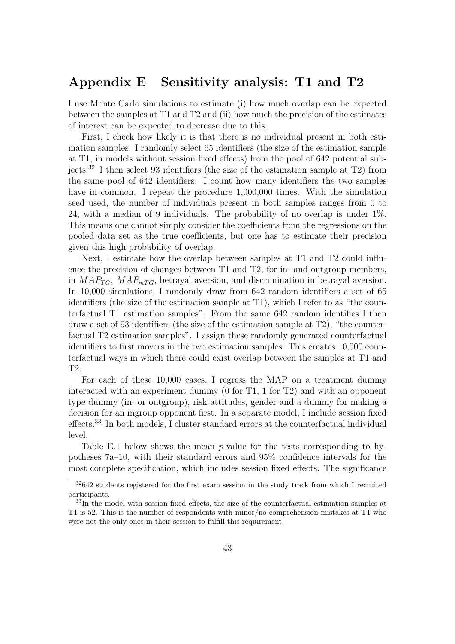## <span id="page-45-0"></span>Appendix E Sensitivity analysis: T1 and T2

I use Monte Carlo simulations to estimate (i) how much overlap can be expected between the samples at T1 and T2 and (ii) how much the precision of the estimates of interest can be expected to decrease due to this.

First, I check how likely it is that there is no individual present in both estimation samples. I randomly select 65 identifiers (the size of the estimation sample at T1, in models without session fixed effects) from the pool of 642 potential subjects.[32](#page-45-1) I then select 93 identifiers (the size of the estimation sample at T2) from the same pool of 642 identifiers. I count how many identifiers the two samples have in common. I repeat the procedure 1,000,000 times. With the simulation seed used, the number of individuals present in both samples ranges from 0 to 24, with a median of 9 individuals. The probability of no overlap is under 1%. This means one cannot simply consider the coefficients from the regressions on the pooled data set as the true coefficients, but one has to estimate their precision given this high probability of overlap.

Next, I estimate how the overlap between samples at T1 and T2 could influence the precision of changes between T1 and T2, for in- and outgroup members, in  $MAP_{TG}$ ,  $MAP_{mTG}$ , betrayal aversion, and discrimination in betrayal aversion. In 10,000 simulations, I randomly draw from 642 random identifiers a set of 65 identifiers (the size of the estimation sample at T1), which I refer to as "the counterfactual T1 estimation samples". From the same 642 random identifies I then draw a set of 93 identifiers (the size of the estimation sample at T2), "the counterfactual T2 estimation samples". I assign these randomly generated counterfactual identifiers to first movers in the two estimation samples. This creates 10,000 counterfactual ways in which there could exist overlap between the samples at T1 and T2.

For each of these 10,000 cases, I regress the MAP on a treatment dummy interacted with an experiment dummy (0 for T1, 1 for T2) and with an opponent type dummy (in- or outgroup), risk attitudes, gender and a dummy for making a decision for an ingroup opponent first. In a separate model, I include session fixed effects.[33](#page-45-2) In both models, I cluster standard errors at the counterfactual individual level.

Table [E.1](#page-46-0) below shows the mean  $p$ -value for the tests corresponding to hypotheses 7a–10, with their standard errors and 95% confidence intervals for the most complete specification, which includes session fixed effects. The significance

<span id="page-45-1"></span> $32642$  students registered for the first exam session in the study track from which I recruited participants.

<span id="page-45-2"></span><sup>33</sup>In the model with session fixed effects, the size of the counterfactual estimation samples at T1 is 52. This is the number of respondents with minor/no comprehension mistakes at T1 who were not the only ones in their session to fulfill this requirement.